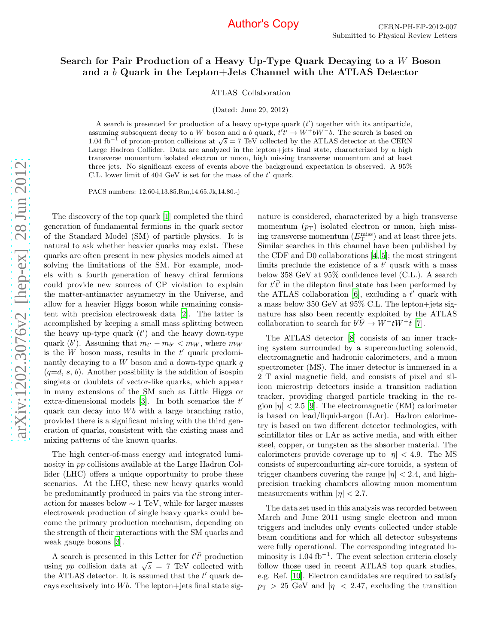#### Search for Pair Production of a Heavy Up-Type Quark Decaying to a W Boson and a b Quark in the Lepton+Jets Channel with the ATLAS Detector

ATLAS Collaboration

(Dated: June 29, 2012)

A search is presented for production of a heavy up-type quark  $(t')$  together with its antiparticle, assuming subsequent decay to a W boson and a b quark,  $t' \overline{t'} \rightarrow W^+ b W^- \overline{b}$ . The search is based on 1.04 fb<sup>-1</sup> of proton-proton collisions at  $\sqrt{s}$  = 7 TeV collected by the ATLAS detector at the CERN Large Hadron Collider. Data are analyzed in the lepton+jets final state, characterized by a high transverse momentum isolated electron or muon, high missing transverse momentum and at least three jets. No significant excess of events above the background expectation is observed. A 95% C.L. lower limit of  $404 \text{ GeV}$  is set for the mass of the  $t'$  quark.

PACS numbers: 12.60-i,13.85.Rm,14.65.Jk,14.80.-j

The discovery of the top quark [\[1\]](#page-4-0) completed the third generation of fundamental fermions in the quark sector of the Standard Model (SM) of particle physics. It is natural to ask whether heavier quarks may exist. These quarks are often present in new physics models aimed at solving the limitations of the SM. For example, models with a fourth generation of heavy chiral fermions could provide new sources of CP violation to explain the matter-antimatter asymmetry in the Universe, and allow for a heavier Higgs boson while remaining consistent with precision electroweak data [\[2\]](#page-4-1). The latter is accomplished by keeping a small mass splitting between the heavy up-type quark  $(t')$  and the heavy down-type quark  $(b')$ . Assuming that  $m_{t'} - m_{b'} < m_W$ , where  $m_W$ is the  $W$  boson mass, results in the  $t'$  quark predominantly decaying to a  $W$  boson and a down-type quark  $q$  $(q=d, s, b)$ . Another possibility is the addition of isospin singlets or doublets of vector-like quarks, which appear in many extensions of the SM such as Little Higgs or extra-dimensional models [\[3\]](#page-4-2). In both scenarios the  $t'$ quark can decay into  $Wb$  with a large branching ratio, provided there is a significant mixing with the third generation of quarks, consistent with the existing mass and mixing patterns of the known quarks.

The high center-of-mass energy and integrated luminosity in pp collisions available at the Large Hadron Collider (LHC) offers a unique opportunity to probe these scenarios. At the LHC, these new heavy quarks would be predominantly produced in pairs via the strong interaction for masses below  $\sim 1$  TeV, while for larger masses electroweak production of single heavy quarks could become the primary production mechanism, depending on the strength of their interactions with the SM quarks and weak gauge bosons [\[3](#page-4-2)].

A search is presented in this Letter for  $t'\bar{t'}$  production using pp collision data at  $\sqrt{s}$  = 7 TeV collected with the ATLAS detector. It is assumed that the  $t'$  quark decays exclusively into  $Wb$ . The lepton+jets final state signature is considered, characterized by a high transverse momentum  $(p_T)$  isolated electron or muon, high missing transverse momentum  $(E_{\text{T}}^{\text{miss}})$  and at least three jets. Similar searches in this channel have been published by the CDF and D0 collaborations [\[4,](#page-4-3) [5](#page-4-4)]; the most stringent limits preclude the existence of a  $t'$  quark with a mass below 358 GeV at 95% confidence level (C.L.). A search for  $t'\bar{t'}$  in the dilepton final state has been performed by the ATLAS collaboration [\[6](#page-4-5)], excluding a  $t'$  quark with a mass below 350 GeV at 95% C.L. The lepton+jets signature has also been recently exploited by the ATLAS collaboration to search for  $b'\bar{b'} \to W^- tW^+ \bar{t}$  [\[7\]](#page-4-6).

The ATLAS detector [\[8](#page-4-7)] consists of an inner tracking system surrounded by a superconducting solenoid, electromagnetic and hadronic calorimeters, and a muon spectrometer (MS). The inner detector is immersed in a 2 T axial magnetic field, and consists of pixel and silicon microstrip detectors inside a transition radiation tracker, providing charged particle tracking in the region  $|\eta| < 2.5$  [\[9\]](#page-4-8). The electromagnetic (EM) calorimeter is based on lead/liquid-argon (LAr). Hadron calorimetry is based on two different detector technologies, with scintillator tiles or LAr as active media, and with either steel, copper, or tungsten as the absorber material. The calorimeters provide coverage up to  $|\eta| < 4.9$ . The MS consists of superconducting air-core toroids, a system of trigger chambers covering the range  $|\eta| < 2.4$ , and highprecision tracking chambers allowing muon momentum measurements within  $|\eta| < 2.7$ .

The data set used in this analysis was recorded between March and June 2011 using single electron and muon triggers and includes only events collected under stable beam conditions and for which all detector subsystems were fully operational. The corresponding integrated luminosity is 1.04 fb<sup>−</sup><sup>1</sup> . The event selection criteria closely follow those used in recent ATLAS top quark studies, e.g. Ref. [\[10\]](#page-4-9). Electron candidates are required to satisfy  $p_{\rm T} > 25$  GeV and  $|\eta| < 2.47$ , excluding the transition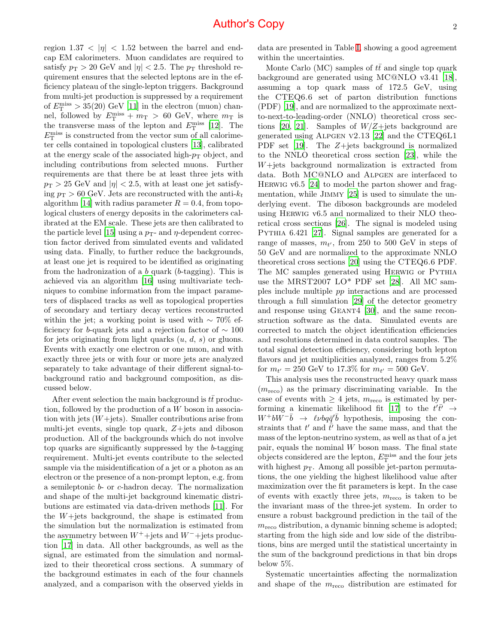region  $1.37 < |\eta| < 1.52$  between the barrel and endcap EM calorimeters. Muon candidates are required to satisfy  $p_T > 20$  GeV and  $|\eta| < 2.5$ . The  $p_T$  threshold requirement ensures that the selected leptons are in the efficiency plateau of the single-lepton triggers. Background from multi-jet production is suppressed by a requirement of  $E_{\rm T}^{\rm miss} > 35(20)$  GeV [\[11\]](#page-4-10) in the electron (muon) channel, followed by  $E_{\rm T}^{\rm miss} + m_{\rm T} > 60$  GeV, where  $m_{\rm T}$  is the transverse mass of the lepton and  $E_{\rm T}^{\rm miss}$  [\[12\]](#page-4-11). The  $E_{\rm T}^{\rm miss}$  is constructed from the vector sum of all calorimeter cells contained in topological clusters [\[13](#page-4-12)], calibrated at the energy scale of the associated high- $p<sub>T</sub>$  object, and including contributions from selected muons. Further requirements are that there be at least three jets with  $p_{\rm T} > 25$  GeV and  $|\eta| < 2.5$ , with at least one jet satisfying  $p_T > 60$  GeV. Jets are reconstructed with the anti- $k_t$ algorithm [\[14](#page-4-13)] with radius parameter  $R = 0.4$ , from topological clusters of energy deposits in the calorimeters calibrated at the EM scale. These jets are then calibrated to the particle level [\[15](#page-4-14)] using a  $p_T$ - and  $\eta$ -dependent correction factor derived from simulated events and validated using data. Finally, to further reduce the backgrounds, at least one jet is required to be identified as originating from the hadronization of a b quark (b-tagging). This is achieved via an algorithm [\[16\]](#page-4-15) using multivariate techniques to combine information from the impact parameters of displaced tracks as well as topological properties of secondary and tertiary decay vertices reconstructed within the jet; a working point is used with  $\sim 70\%$  efficiency for b-quark jets and a rejection factor of  $\sim 100$ for jets originating from light quarks  $(u, d, s)$  or gluons. Events with exactly one electron or one muon, and with exactly three jets or with four or more jets are analyzed separately to take advantage of their different signal-tobackground ratio and background composition, as discussed below.

After event selection the main background is  $t\bar{t}$  production, followed by the production of a W boson in association with jets  $(W + jets)$ . Smaller contributions arise from multi-jet events, single top quark, Z+jets and diboson production. All of the backgrounds which do not involve top quarks are significantly suppressed by the b-tagging requirement. Multi-jet events contribute to the selected sample via the misidentification of a jet or a photon as an electron or the presence of a non-prompt lepton, e.g. from a semileptonic b- or c-hadron decay. The normalization and shape of the multi-jet background kinematic distributions are estimated via data-driven methods [\[11](#page-4-10)]. For the  $W +$ jets background, the shape is estimated from the simulation but the normalization is estimated from the asymmetry between  $W^+$ +jets and  $W^-$ +jets production [\[17\]](#page-4-16) in data. All other backgrounds, as well as the signal, are estimated from the simulation and normalized to their theoretical cross sections. A summary of the background estimates in each of the four channels analyzed, and a comparison with the observed yields in data are presented in Table [I,](#page-2-0) showing a good agreement within the uncertainties.

Monte Carlo (MC) samples of  $t\bar{t}$  and single top quark background are generated using MC@NLO v3.41 [\[18\]](#page-4-17), assuming a top quark mass of 172.5 GeV, using the CTEQ6.6 set of parton distribution functions (PDF) [\[19](#page-4-18)], and are normalized to the approximate nextto-next-to-leading-order (NNLO) theoretical cross sec-tions [\[20](#page-4-19), [21\]](#page-4-20). Samples of  $W/Z +$ jets background are generated using Alpgen v2.13 [\[22\]](#page-4-21) and the CTEQ6L1 PDF set [\[19](#page-4-18)]. The  $Z+$ jets background is normalized to the NNLO theoretical cross section [\[23](#page-4-22)], while the W+jets background normalization is extracted from data. Both MC@NLO and Alpgen are interfaced to Herwig v6.5 [\[24](#page-4-23)] to model the parton shower and frag-mentation, while JIMMY [\[25](#page-4-24)] is used to simulate the underlying event. The diboson backgrounds are modeled using Herwig v6.5 and normalized to their NLO theoretical cross sections [\[26\]](#page-4-25). The signal is modeled using Pythia 6.421 [\[27\]](#page-4-26). Signal samples are generated for a range of masses,  $m_{t'}$ , from 250 to 500 GeV in steps of 50 GeV and are normalized to the approximate NNLO theoretical cross sections [\[20\]](#page-4-19) using the CTEQ6.6 PDF. The MC samples generated using HERWIG or PYTHIA use the MRST2007 LO\* PDF set [\[28](#page-4-27)]. All MC samples include multiple pp interactions and are processed through a full simulation [\[29](#page-4-28)] of the detector geometry and response using GEANT4 [\[30\]](#page-4-29), and the same reconstruction software as the data. Simulated events are corrected to match the object identification efficiencies and resolutions determined in data control samples. The total signal detection efficiency, considering both lepton flavors and jet multiplicities analyzed, ranges from 5.2% for  $m_{t'} = 250 \text{ GeV}$  to 17.3% for  $m_{t'} = 500 \text{ GeV}$ .

This analysis uses the reconstructed heavy quark mass  $(m_{\text{reco}})$  as the primary discriminating variable. In the case of events with  $\geq 4$  jets,  $m_{\text{reco}}$  is estimated by per-forming a kinematic likelihood fit [\[17](#page-4-16)] to the  $t't\bar{t'} \rightarrow$  $W^+bW^-\bar{b} \rightarrow \ell\nu b q \bar{q}'\bar{b}$  hypothesis, imposing the constraints that  $t'$  and  $\overline{t'}$  have the same mass, and that the mass of the lepton-neutrino system, as well as that of a jet pair, equals the nominal  $W$  boson mass. The final state objects considered are the lepton,  $E_{\rm T}^{\rm miss}$  and the four jets with highest  $p_T$ . Among all possible jet-parton permutations, the one yielding the highest likelihood value after maximization over the fit parameters is kept. In the case of events with exactly three jets,  $m_{\text{reco}}$  is taken to be the invariant mass of the three-jet system. In order to ensure a robust background prediction in the tail of the  $m_{\text{reco}}$  distribution, a dynamic binning scheme is adopted; starting from the high side and low side of the distributions, bins are merged until the statistical uncertainty in the sum of the background predictions in that bin drops below 5%.

Systematic uncertainties affecting the normalization and shape of the  $m_{\text{reco}}$  distribution are estimated for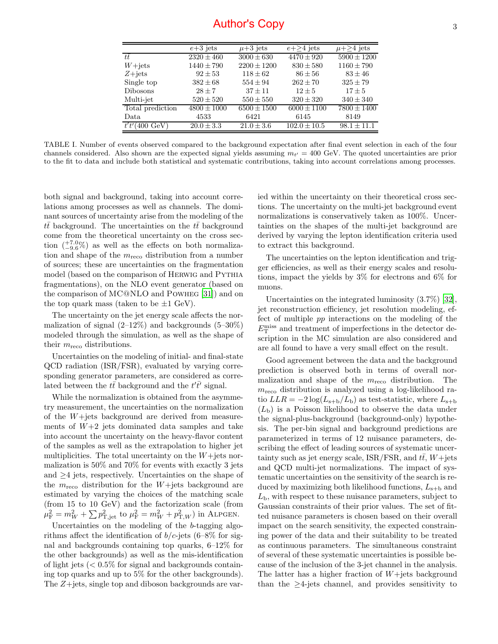|                  | $e+3$ jets      | $\mu+3$ jets    | $e + > 4$ jets   | $\mu + \geq 4$ jets |
|------------------|-----------------|-----------------|------------------|---------------------|
| tt               | $2320 \pm 460$  | $3000 \pm 630$  | $4470 \pm 920$   | $5900 \pm 1200$     |
| $W+{\rm jets}$   | $1440 \pm 790$  | $2200 \pm 1200$ | $830 \pm 580$    | $1160 \pm 790$      |
| $Z + iets$       | $92 + 53$       | $118 \pm 62$    | $86 \pm 56$      | $83 \pm 46$         |
| Single top       | $382 \pm 68$    | $554 \pm 94$    | $262 \pm 70$     | $325 \pm 79$        |
| <b>Dibosons</b>  | $28 + 7$        | $37 + 11$       | $12 + 5$         | $17 \pm 5$          |
| Multi-jet        | $520 \pm 520$   | $550 \pm 550$   | $320 \pm 320$    | $340 \pm 340$       |
| Total prediction | $4800 \pm 1000$ | $6500 \pm 1500$ | $6000 \pm 1100$  | $7800 \pm 1400$     |
| Data             | 4533            | 6421            | 6145             | 8149                |
| $\text{GeV}$     | $20.0 \pm 3.3$  | $21.0 \pm 3.6$  | $102.0 \pm 10.5$ | $98.1 + 11.1$       |

<span id="page-2-0"></span>TABLE I. Number of events observed compared to the background expectation after final event selection in each of the four channels considered. Also shown are the expected signal yields assuming  $m_{t'} = 400 \text{ GeV}$ . The quoted uncertainties are prior to the fit to data and include both statistical and systematic contributions, taking into account correlations among processes.

both signal and background, taking into account correlations among processes as well as channels. The dominant sources of uncertainty arise from the modeling of the  $t\bar{t}$  background. The uncertainties on the  $t\bar{t}$  background come from the theoretical uncertainty on the cross section  $\binom{+7.0}{-9.6}$  as well as the effects on both normalization and shape of the  $m_{\text{reco}}$  distribution from a number of sources; these are uncertainties on the fragmentation model (based on the comparison of HERWIG and PYTHIA fragmentations), on the NLO event generator (based on the comparison of MC@NLO and Powheg [\[31](#page-4-30)]) and on the top quark mass (taken to be  $\pm 1$  GeV).

The uncertainty on the jet energy scale affects the normalization of signal  $(2-12\%)$  and backgrounds  $(5-30\%)$ modeled through the simulation, as well as the shape of their  $m_{\text{reco}}$  distributions.

Uncertainties on the modeling of initial- and final-state QCD radiation (ISR/FSR), evaluated by varying corresponding generator parameters, are considered as correlated between the  $t\bar{t}$  background and the  $t'\bar{t'}$  signal.

While the normalization is obtained from the asymmetry measurement, the uncertainties on the normalization of the W+jets background are derived from measurements of  $W+2$  jets dominated data samples and take into account the uncertainty on the heavy-flavor content of the samples as well as the extrapolation to higher jet multiplicities. The total uncertainty on the  $W+$ jets normalization is 50% and 70% for events with exactly 3 jets and  $\geq 4$  jets, respectively. Uncertainties on the shape of the  $m_{\text{reco}}$  distribution for the W+jets background are estimated by varying the choices of the matching scale (from 15 to 10 GeV) and the factorization scale (from  $\mu_{\rm F}^2 = m_W^2 + \sum p_{\rm T,jet}^2$  to  $\mu_{\rm F}^2 = m_W^2 + p_{\rm T,W}^2$ ) in ALPGEN.

Uncertainties on the modeling of the b-tagging algorithms affect the identification of  $b/c$ -jets (6–8% for signal and backgrounds containing top quarks, 6–12% for the other backgrounds) as well as the mis-identification of light jets  $\langle 0.5\%$  for signal and backgrounds containing top quarks and up to 5% for the other backgrounds). The Z+jets, single top and diboson backgrounds are varied within the uncertainty on their theoretical cross sections. The uncertainty on the multi-jet background event normalizations is conservatively taken as 100%. Uncertainties on the shapes of the multi-jet background are derived by varying the lepton identification criteria used to extract this background.

The uncertainties on the lepton identification and trigger efficiencies, as well as their energy scales and resolutions, impact the yields by 3% for electrons and 6% for muons.

Uncertainties on the integrated luminosity (3.7%) [\[32\]](#page-4-31), jet reconstruction efficiency, jet resolution modeling, effect of multiple pp interactions on the modeling of the  $E_{\rm T}^{\rm miss}$  and treatment of imperfections in the detector description in the MC simulation are also considered and are all found to have a very small effect on the result.

Good agreement between the data and the background prediction is observed both in terms of overall normalization and shape of the  $m_{\text{reco}}$  distribution. The  $m_{\text{reco}}$  distribution is analyzed using a log-likelihood ratio  $LLR = -2 \log(L_{s+b}/L_b)$  as test-statistic, where  $L_{s+b}$  $(L<sub>b</sub>)$  is a Poisson likelihood to observe the data under the signal-plus-background (background-only) hypothesis. The per-bin signal and background predictions are parameterized in terms of 12 nuisance parameters, describing the effect of leading sources of systematic uncertainty such as jet energy scale, ISR/FSR, and  $t\bar{t}$ , W+jets and QCD multi-jet normalizations. The impact of systematic uncertainties on the sensitivity of the search is reduced by maximizing both likelihood functions,  $L_{s+b}$  and  $L<sub>b</sub>$ , with respect to these nuisance parameters, subject to Gaussian constraints of their prior values. The set of fitted nuisance parameters is chosen based on their overall impact on the search sensitivity, the expected constraining power of the data and their suitability to be treated as continuous parameters. The simultaneous constraint of several of these systematic uncertainties is possible because of the inclusion of the 3-jet channel in the analysis. The latter has a higher fraction of  $W+$ jets background than the ≥4-jets channel, and provides sensitivity to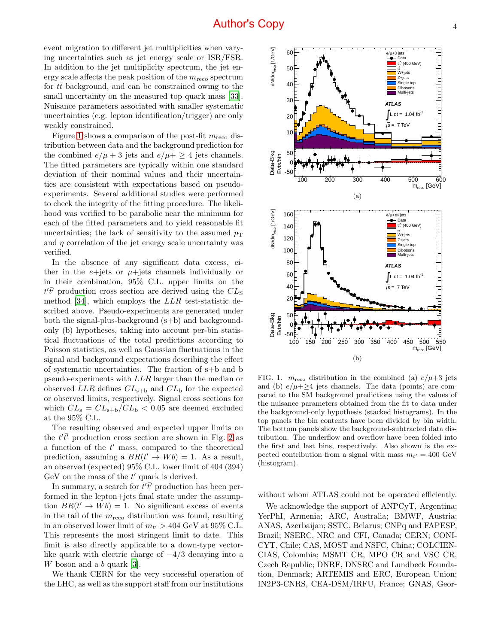event migration to different jet multiplicities when varying uncertainties such as jet energy scale or ISR/FSR. In addition to the jet multiplicity spectrum, the jet energy scale affects the peak position of the  $m_{\text{reco}}$  spectrum for  $t\bar{t}$  background, and can be constrained owing to the small uncertainty on the measured top quark mass [\[33\]](#page-4-32). Nuisance parameters associated with smaller systematic uncertainties (e.g. lepton identification/trigger) are only weakly constrained.

Figure [1](#page-3-0) shows a comparison of the post-fit  $m_{\text{reco}}$  distribution between data and the background prediction for the combined  $e/\mu + 3$  jets and  $e/\mu + \geq 4$  jets channels. The fitted parameters are typically within one standard deviation of their nominal values and their uncertainties are consistent with expectations based on pseudoexperiments. Several additional studies were performed to check the integrity of the fitting procedure. The likelihood was verified to be parabolic near the minimum for each of the fitted parameters and to yield reasonable fit uncertainties; the lack of sensitivity to the assumed  $p_T$ and  $\eta$  correlation of the jet energy scale uncertainty was verified.

In the absence of any significant data excess, either in the  $e+{\text{jets}}$  or  $\mu+{\text{jets}}$  channels individually or in their combination, 95% C.L. upper limits on the  $t'\bar{t'}$  production cross section are derived using the  $CL<sub>S</sub>$ method [\[34](#page-4-33)], which employs the LLR test-statistic described above. Pseudo-experiments are generated under both the signal-plus-background (s+b) and backgroundonly (b) hypotheses, taking into account per-bin statistical fluctuations of the total predictions according to Poisson statistics, as well as Gaussian fluctuations in the signal and background expectations describing the effect of systematic uncertainties. The fraction of s+b and b pseudo-experiments with LLR larger than the median or observed  $LLR$  defines  $CL_{s+b}$  and  $CL_b$  for the expected or observed limits, respectively. Signal cross sections for which  $CL_s = CL_{s+b}/CL_b < 0.05$  are deemed excluded at the 95% C.L.

The resulting observed and expected upper limits on the  $t'\bar{t'}$  production cross section are shown in Fig. [2](#page-4-34) as a function of the  $t'$  mass, compared to the theoretical prediction, assuming a  $BR(t' \rightarrow Wb) = 1$ . As a result, an observed (expected) 95% C.L. lower limit of 404 (394) GeV on the mass of the  $t'$  quark is derived.

In summary, a search for  $\overline{t' \overline{t'}}$  production has been performed in the lepton+jets final state under the assumption  $BR(t' \to Wb) = 1$ . No significant excess of events in the tail of the  $m_{\text{reco}}$  distribution was found, resulting in an observed lower limit of  $m_{t'} > 404$  GeV at 95% C.L. This represents the most stringent limit to date. This limit is also directly applicable to a down-type vectorlike quark with electric charge of  $-4/3$  decaying into a W boson and a b quark [\[3\]](#page-4-35).

We thank CERN for the very successful operation of the LHC, as well as the support staff from our institutions



60 e/µ+3 jets Data

<span id="page-3-0"></span>FIG. 1.  $m_{\text{reco}}$  distribution in the combined (a)  $e/\mu+3$  jets and (b)  $e/\mu + \geq 4$  jets channels. The data (points) are compared to the SM background predictions using the values of the nuisance parameters obtained from the fit to data under the background-only hypothesis (stacked histograms). In the top panels the bin contents have been divided by bin width. The bottom panels show the background-subtracted data distribution. The underflow and overflow have been folded into the first and last bins, respectively. Also shown is the expected contribution from a signal with mass  $m_{t'} = 400 \text{ GeV}$ (histogram).

without whom ATLAS could not be operated efficiently.

We acknowledge the support of ANPCyT, Argentina; YerPhI, Armenia; ARC, Australia; BMWF, Austria; ANAS, Azerbaijan; SSTC, Belarus; CNPq and FAPESP, Brazil; NSERC, NRC and CFI, Canada; CERN; CONI-CYT, Chile; CAS, MOST and NSFC, China; COLCIEN-CIAS, Colombia; MSMT CR, MPO CR and VSC CR, Czech Republic; DNRF, DNSRC and Lundbeck Foundation, Denmark; ARTEMIS and ERC, European Union; IN2P3-CNRS, CEA-DSM/IRFU, France; GNAS, Geor-

 $\mathbf{f}$ t' $\mathbf{f}'$  (400 GeV)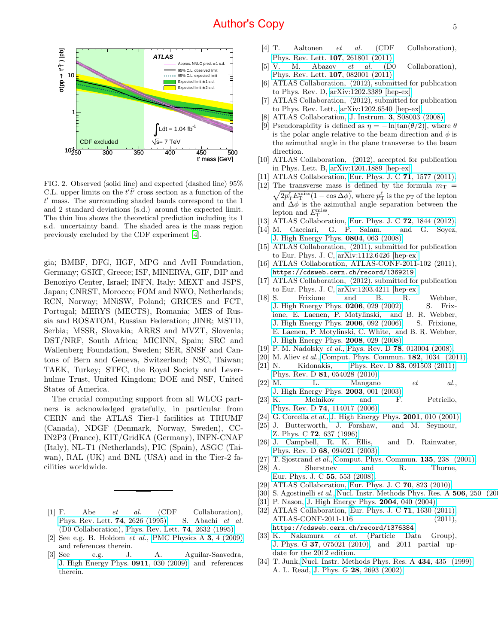

<span id="page-4-34"></span>FIG. 2. Observed (solid line) and expected (dashed line) 95% C.L. upper limits on the  $t'\overline{t'}$  cross section as a function of the t ′ mass. The surrounding shaded bands correspond to the 1 and 2 standard deviations (s.d.) around the expected limit. The thin line shows the theoretical prediction including its 1 s.d. uncertainty band. The shaded area is the mass region previously excluded by the CDF experiment [\[4\]](#page-4-36).

gia; BMBF, DFG, HGF, MPG and AvH Foundation, Germany; GSRT, Greece; ISF, MINERVA, GIF, DIP and Benoziyo Center, Israel; INFN, Italy; MEXT and JSPS, Japan; CNRST, Morocco; FOM and NWO, Netherlands; RCN, Norway; MNiSW, Poland; GRICES and FCT, Portugal; MERYS (MECTS), Romania; MES of Russia and ROSATOM, Russian Federation; JINR; MSTD, Serbia; MSSR, Slovakia; ARRS and MVZT, Slovenia; DST/NRF, South Africa; MICINN, Spain; SRC and Wallenberg Foundation, Sweden; SER, SNSF and Cantons of Bern and Geneva, Switzerland; NSC, Taiwan; TAEK, Turkey; STFC, the Royal Society and Leverhulme Trust, United Kingdom; DOE and NSF, United States of America.

The crucial computing support from all WLCG partners is acknowledged gratefully, in particular from CERN and the ATLAS Tier-1 facilities at TRIUMF (Canada), NDGF (Denmark, Norway, Sweden), CC-IN2P3 (France), KIT/GridKA (Germany), INFN-CNAF (Italy), NL-T1 (Netherlands), PIC (Spain), ASGC (Taiwan), RAL (UK) and BNL (USA) and in the Tier-2 facilities worldwide.

- <span id="page-4-0"></span>[1] F. Abe et al. (CDF Collaboration), [Phys. Rev. Lett.](http://dx.doi.org/10.1103/PhysRevLett.74.2626) **74**, 2626 (1995); S. Abachi et al. (D0 Collaboration), [Phys. Rev. Lett.](http://dx.doi.org/10.1103/PhysRevLett.74.2632) 74, 2632 (1995).
- <span id="page-4-1"></span>[2] See e.g. B. Holdom *et al.*, [PMC Physics A](http://dx.doi.org/10.1186/1754-0410-3-4)  $3, 4$  (2009) and references therein.
- <span id="page-4-35"></span><span id="page-4-2"></span>[3] See e.g. J. A. Aguilar-Saavedra, [J. High Energy Phys.](http://dx.doi.org/10.1088/1126-6708/2009/11/030) 0911, 030 (2009) and references therein.
- <span id="page-4-36"></span><span id="page-4-3"></span>[4] T. Aaltonen et al. (CDF Collaboration), [Phys. Rev. Lett.](http://dx.doi.org/10.1103/PhysRevLett.107.261801) 107, 261801 (2011).
- <span id="page-4-4"></span>[5] V. M. Abazov  $et \ al.$  (D0 Collaboration), [Phys. Rev. Lett.](http://dx.doi.org/10.1103/PhysRevLett.107.082001) 107, 082001 (2011).
- <span id="page-4-5"></span>[6] ATLAS Collaboration, (2012), submitted for publication to Phys. Rev. D, [arXiv:1202.3389 \[hep-ex\].](http://arxiv.org/abs/1202.3389)
- <span id="page-4-6"></span>[7] ATLAS Collaboration, (2012), submitted for publication to Phys. Rev. Lett., [arXiv:1202.6540 \[hep-ex\].](http://arxiv.org/abs/1202.6540)
- <span id="page-4-7"></span>[8] ATLAS Collaboration, J. Instrum. 3[, S08003 \(2008\).](http://dx.doi.org/10.1088/1748-0221/3/08/S08003)
- <span id="page-4-8"></span>[9] Pseudorapidity is defined as  $\eta = -\ln[\tan(\theta/2)]$ , where  $\theta$ is the polar angle relative to the beam direction and  $\phi$  is the azimuthal angle in the plane transverse to the beam direction.
- <span id="page-4-9"></span>[10] ATLAS Collaboration, (2012), accepted for publication in Phys. Lett. B, [arXiv:1201.1889 \[hep-ex\].](http://arxiv.org/abs/1201.1889)
- <span id="page-4-10"></span>[11] ATLAS Collaboration, [Eur. Phys. J. C](http://dx.doi.org/10.1140/epjc/s10052-011-1577-6) 71, 1577 (2011).
- <span id="page-4-11"></span>[12] The transverse mass is defined by the formula  $m<sub>T</sub>$  = The transverse mass is defined by the formula  $m_T = \sqrt{2p_T^{\ell} E_T^{\text{miss}}(1 - \cos \Delta \phi)}$ , where  $p_T^{\ell}$  is the  $p_T$  of the lepton and  $\Delta \phi$  is the azimuthal angle separation between the lepton and  $E_{\rm T}^{\rm miss}$ .
- <span id="page-4-12"></span>[13] ATLAS Collaboration, [Eur. Phys. J. C](http://dx.doi.org/10.1140/epjc/s10052-011-1844-6) **72**, 1844 (2012).
- <span id="page-4-13"></span>[14] M. Cacciari, G. P. Salam, and G. Soyez, [J. High Energy Phys.](http://dx.doi.org/10.1088/1126-6708/2008/04/063) 0804, 063 (2008).
- <span id="page-4-14"></span>[15] ATLAS Collaboration,  $(2011)$ , submitted for publication to Eur. Phys. J. C, [arXiv:1112.6426 \[hep-ex\].](http://arxiv.org/abs/1112.6426)
- <span id="page-4-15"></span>[16] ATLAS Collaboration, ATLAS-CONF-2011-102 (2011), <https://cdsweb.cern.ch/record/1369219>.
- <span id="page-4-16"></span>[17] ATLAS Collaboration, (2012), submitted for publication to Eur. Phys. J. C, [arXiv:1203.4211 \[hep-ex\].](http://arxiv.org/abs/1203.4211)
- <span id="page-4-17"></span>[18] S. Frixione and B. R. Webber,<br>
J. High Energy Phys.  $0206$ , 029 (2002); S. Frix-[J. High Energy Phys.](http://dx.doi.org/10.1088/1126-6708/2002/06/029)  $0206$ ,  $029$   $(2002)$ ; ione, E. Laenen, P. Motylinski, and B. R. Webber, [J. High Energy Phys.](http://dx.doi.org/10.1088/1126-6708/2006/03/092) 2006, 092 (2006); S. Frixione, E. Laenen, P. Motylinski, C. White, and B. R. Webber, [J. High Energy Phys.](http://dx.doi.org/ 10.1088/1126-6708/2008/07/029) 2008, 029 (2008).
- <span id="page-4-18"></span>[19] P. M. Nadolsky et al., Phys. Rev. D 78[, 013004 \(2008\).](http://dx.doi.org/10.1103/PhysRevD.78.013004)
- <span id="page-4-19"></span>[20] M. Aliev et al., [Comput. Phys. Commun.](http://dx.doi.org/10.1016/j.cpc.2010.12.040) **182**, 1034 (2011).
- <span id="page-4-20"></span>[21] N. Kidonakis, Phys. Rev. D  $83, 091503$  (2011); Phys. Rev. D 81[, 054028 \(2010\).](http://dx.doi.org/10.1103/PhysRevD.81.054028)
- <span id="page-4-21"></span> $[22]$  M. L. Mangano et al., [J. High Energy Phys.](http://stacks.iop.org/1126-6708/2003/i=07/a=001) 2003, 001 (2003).
- <span id="page-4-22"></span>[23] K. Melnikov and F. Petriello, Phys. Rev. D 74[, 114017 \(2006\).](http://dx.doi.org/10.1103/PhysRevD.74.114017)
- <span id="page-4-23"></span>[24] G. Corcella et al., [J. High Energy Phys.](http://stacks.iop.org/1126-6708/2001/i=01/a=010) **2001**, 010 (2001).
- <span id="page-4-24"></span>[25] J. Butterworth, J. Forshaw, and M. Seymour, Z. Phys. C 72[, 637 \(1996\).](http://dx.doi.org/10.1007/s002880050286)
- <span id="page-4-25"></span>[26] J. Campbell, R. K. Ellis, and D. Rainwater, Phys. Rev. D 68[, 094021 \(2003\).](http://dx.doi.org/10.1103/PhysRevD.68.094021)
- <span id="page-4-26"></span>[27] T. Sjostrand *et al.*, [Comput. Phys. Commun.](http://dx.doi.org/10.1016/S0010-4655(00)00236-8) **135**, 238 (2001).
- <span id="page-4-27"></span>[28] A. Sherstnev and R. Thorne, [Eur. Phys. J. C](http://dx.doi.org/10.1140/epjc/s10052-008-0610-x) 55, 553 (2008).
- <span id="page-4-28"></span>[29] ATLAS Collaboration, [Eur. Phys. J. C](http://dx.doi.org/10.1140/epjc/s10052-010-1429-9) **70**, 823 (2010).
- <span id="page-4-29"></span>[30] S. Agostinelli et al., [Nucl. Instr. Methods Phys. Res. A](http://dx.doi.org/ 10.1016/S0168-9002(03)01368-8)  $506$ ,  $250$  (20
- <span id="page-4-30"></span>[31] P. Nason, [J. High Energy Phys.](http://stacks.iop.org/1126-6708/2004/i=11/a=040) **2004**, 040 (2004).
- <span id="page-4-31"></span>[32] ATLAS Collaboration, [Eur. Phys. J. C](http://dx.doi.org/10.1140/epjc/s10052-011-1630-5) 71, 1630 (2011); ATLAS-CONF-2011-116 (2011), <https://cdsweb.cern.ch/record/1376384>.
- <span id="page-4-32"></span>[33] K. Nakamura et al. (Particle Data Group), J. Phys. G 37[, 075021 \(2010\),](http://stacks.iop.org/0954-3899/37/i=7A/a=075021) and 2011 partial update for the 2012 edition.
- <span id="page-4-33"></span>[34] T. Junk, [Nucl. Instr. Methods Phys. Res. A](http://dx.doi.org/10.1016/S0168-9002(99)00498-2) 434, 435 (1999); A. L. Read, J. Phys. G 28[, 2693 \(2002\).](http://stacks.iop.org/0954-3899/28/i=10/a=313)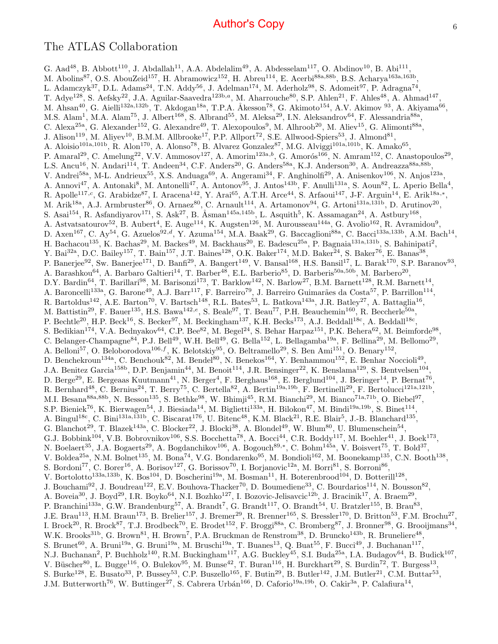#### The ATLAS Collaboration

G. Aad<sup>48</sup>, B. Abbott<sup>110</sup>, J. Abdallah<sup>11</sup>, A.A. Abdelalim<sup>49</sup>, A. Abdesselam<sup>117</sup>, O. Abdinov<sup>10</sup>, B. Abi<sup>111</sup>, M. Abolins<sup>87</sup>, O.S. AbouZeid<sup>157</sup>, H. Abramowicz<sup>152</sup>, H. Abreu<sup>114</sup>, E. Acerbi<sup>88a,88b</sup>, B.S. Acharya<sup>163a,163b</sup>, L. Adamczyk<sup>37</sup>, D.L. Adams<sup>24</sup>, T.N. Addy<sup>56</sup>, J. Adelman<sup>174</sup>, M. Aderholz<sup>98</sup>, S. Adomeit<sup>97</sup>, P. Adragna<sup>74</sup>, T. Adye<sup>128</sup>, S. Aefsky<sup>22</sup>, J.A. Aguilar-Saavedra<sup>123b,a</sup>, M. Aharrouche<sup>80</sup>, S.P. Ahlen<sup>21</sup>, F. Ahles<sup>48</sup>, A. Ahmad<sup>147</sup>, M. Ahsan<sup>40</sup>, G. Aielli<sup>132a,132b</sup>, T. Akdogan<sup>18a</sup>, T.P.A. Åkesson<sup>78</sup>, G. Akimoto<sup>154</sup>, A.V. Akimov <sup>93</sup>, A. Akiyama<sup>66</sup>, M.S. Alam<sup>1</sup>, M.A. Alam<sup>75</sup>, J. Albert<sup>168</sup>, S. Albrand<sup>55</sup>, M. Aleksa<sup>29</sup>, I.N. Aleksandrov<sup>64</sup>, F. Alessandria<sup>88a</sup>, C. Alexa<sup>25a</sup>, G. Alexander<sup>152</sup>, G. Alexandre<sup>49</sup>, T. Alexopoulos<sup>9</sup>, M. Alhroob<sup>20</sup>, M. Aliev<sup>15</sup>, G. Alimonti<sup>88a</sup>, J. Alison<sup>119</sup>, M. Aliyev<sup>10</sup>, B.M.M. Allbrooke<sup>17</sup>, P.P. Allport<sup>72</sup>, S.E. Allwood-Spiers<sup>53</sup>, J. Almond<sup>81</sup>, A. Aloisio<sup>101a,101b</sup>, R. Alon<sup>170</sup>, A. Alonso<sup>78</sup>, B. Alvarez Gonzalez<sup>87</sup>, M.G. Alviggi<sup>101a,101b</sup>, K. Amako<sup>65</sup>, P. Amaral<sup>29</sup>, C. Amelung<sup>22</sup>, V.V. Ammosov<sup>127</sup>, A. Amorim<sup>123a,b</sup>, G. Amorós<sup>166</sup>, N. Amram<sup>152</sup>, C. Anastopoulos<sup>29</sup>, L.S. Ancu<sup>16</sup>, N. Andari<sup>114</sup>, T. Andeen<sup>34</sup>, C.F. Anders<sup>20</sup>, G. Anders<sup>58a</sup>, K.J. Anderson<sup>30</sup>, A. Andreazza<sup>88a,88b</sup>, V. Andrei<sup>58a</sup>, M-L. Andrieux<sup>55</sup>, X.S. Anduaga<sup>69</sup>, A. Angerami<sup>34</sup>, F. Anghinolfi<sup>29</sup>, A. Anisenkov<sup>106</sup>, N. Anjos<sup>123a</sup>, A. Annovi<sup>47</sup>, A. Antonaki<sup>8</sup>, M. Antonelli<sup>47</sup>, A. Antonov<sup>95</sup>, J. Antos<sup>143b</sup>, F. Anulli<sup>131a</sup>, S. Aoun<sup>82</sup>, L. Aperio Bella<sup>4</sup>, R. Apolle<sup>117,c</sup>, G. Arabidze<sup>87</sup>, I. Aracena<sup>142</sup>, Y. Arai<sup>65</sup>, A.T.H. Arce<sup>44</sup>, S. Arfaoui<sup>147</sup>, J-F. Arguin<sup>14</sup>, E. Arik<sup>18a,\*</sup>, M. Arik<sup>18a</sup>, A.J. Armbruster<sup>86</sup>, O. Arnaez<sup>80</sup>, C. Arnault<sup>114</sup>, A. Artamonov<sup>94</sup>, G. Artoni<sup>131a,131b</sup>, D. Arutinov<sup>20</sup>, S. Asai<sup>154</sup>, R. Asfandiyarov<sup>171</sup>, S. Ask<sup>27</sup>, B. Åsman<sup>145a,145b</sup>, L. Asquith<sup>5</sup>, K. Assamagan<sup>24</sup>, A. Astbury<sup>168</sup>, A. Astvatsatourov<sup>52</sup>, B. Aubert<sup>4</sup>, E. Auge<sup>114</sup>, K. Augsten<sup>126</sup>, M. Aurousseau<sup>144a</sup>, G. Avolio<sup>162</sup>, R. Avramidou<sup>9</sup>, D. Axen<sup>167</sup>, C. Ay<sup>54</sup>, G. Azuelos<sup>92,d</sup>, Y. Azuma<sup>154</sup>, M.A. Baak<sup>29</sup>, G. Baccaglioni<sup>88a</sup>, C. Bacci<sup>133a,133b</sup>, A.M. Bach<sup>14</sup>, H. Bachacou<sup>135</sup>, K. Bachas<sup>29</sup>, M. Backes<sup>49</sup>, M. Backhaus<sup>20</sup>, E. Badescu<sup>25a</sup>, P. Bagnaia<sup>131a,131b</sup>, S. Bahinipati<sup>2</sup>, Y. Bai<sup>32a</sup>, D.C. Bailey<sup>157</sup>, T. Bain<sup>157</sup>, J.T. Baines<sup>128</sup>, O.K. Baker<sup>174</sup>, M.D. Baker<sup>24</sup>, S. Baker<sup>76</sup>, E. Banas<sup>38</sup>, P. Banerjee<sup>92</sup>, Sw. Banerjee<sup>171</sup>, D. Banfi<sup>29</sup>, A. Bangert<sup>149</sup>, V. Bansal<sup>168</sup>, H.S. Bansil<sup>17</sup>, L. Barak<sup>170</sup>, S.P. Baranov<sup>93</sup>, A. Barashkou<sup>64</sup>, A. Barbaro Galtieri<sup>14</sup>, T. Barber<sup>48</sup>, E.L. Barberio<sup>85</sup>, D. Barberis<sup>50a,50b</sup>, M. Barbero<sup>20</sup>, D.Y. Bardin<sup>64</sup>, T. Barillari<sup>98</sup>, M. Barisonzi<sup>173</sup>, T. Barklow<sup>142</sup>, N. Barlow<sup>27</sup>, B.M. Barnett<sup>128</sup>, R.M. Barnett<sup>14</sup>, A. Baroncelli<sup>133a</sup>, G. Barone<sup>49</sup>, A.J. Barr<sup>117</sup>, F. Barreiro<sup>79</sup>, J. Barreiro Guimarães da Costa<sup>57</sup>, P. Barrillon<sup>114</sup>, R. Bartoldus<sup>142</sup>, A.E. Barton<sup>70</sup>, V. Bartsch<sup>148</sup>, R.L. Bates<sup>53</sup>, L. Batkova<sup>143a</sup>, J.R. Batley<sup>27</sup>, A. Battaglia<sup>16</sup>, M. Battistin<sup>29</sup>, F. Bauer<sup>135</sup>, H.S. Bawa<sup>142,e</sup>, S. Beale<sup>97</sup>, T. Beau<sup>77</sup>, P.H. Beauchemin<sup>160</sup>, R. Beccherle<sup>50a</sup>, P. Bechtle<sup>20</sup>, H.P. Beck<sup>16</sup>, S. Becker<sup>97</sup>, M. Beckingham<sup>137</sup>, K.H. Becks<sup>173</sup>, A.J. Beddall<sup>18c</sup>, A. Beddall<sup>18c</sup>, S. Bedikian<sup>174</sup>, V.A. Bednyakov<sup>64</sup>, C.P. Bee<sup>82</sup>, M. Begel<sup>24</sup>, S. Behar Harpaz<sup>151</sup>, P.K. Behera<sup>62</sup>, M. Beimforde<sup>98</sup>, C. Belanger-Champagne<sup>84</sup>, P.J. Bell<sup>49</sup>, W.H. Bell<sup>49</sup>, G. Bella<sup>152</sup>, L. Bellagamba<sup>19a</sup>, F. Bellina<sup>29</sup>, M. Bellomo<sup>29</sup>, A. Belloni<sup>57</sup>, O. Beloborodova<sup>106,f</sup>, K. Belotskiy<sup>95</sup>, O. Beltramello<sup>29</sup>, S. Ben Ami<sup>151</sup>, O. Benary<sup>152</sup>, D. Benchekroun<sup>134a</sup>, C. Benchouk<sup>82</sup>, M. Bendel<sup>80</sup>, N. Benekos<sup>164</sup>, Y. Benhammou<sup>152</sup>, E. Benhar Noccioli<sup>49</sup>, J.A. Benitez Garcia<sup>158b</sup>, D.P. Benjamin<sup>44</sup>, M. Benoit<sup>114</sup>, J.R. Bensinger<sup>22</sup>, K. Benslama<sup>129</sup>, S. Bentvelsen<sup>104</sup>, D. Berge<sup>29</sup>, E. Bergeaas Kuutmann<sup>41</sup>, N. Berger<sup>4</sup>, F. Berghaus<sup>168</sup>, E. Berglund<sup>104</sup>, J. Beringer<sup>14</sup>, P. Bernat<sup>76</sup>, R. Bernhard<sup>48</sup>, C. Bernius<sup>24</sup>, T. Berry<sup>75</sup>, C. Bertella<sup>82</sup>, A. Bertin<sup>19a,19b</sup>, F. Bertinelli<sup>29</sup>, F. Bertolucci<sup>121a,121b</sup>, M.I. Besana<sup>88a,88b</sup>, N. Besson<sup>135</sup>, S. Bethke<sup>98</sup>, W. Bhimji<sup>45</sup>, R.M. Bianchi<sup>29</sup>, M. Bianco<sup>71a,71b</sup>, O. Biebel<sup>97</sup>, S.P. Bieniek<sup>76</sup>, K. Bierwagen<sup>54</sup>, J. Biesiada<sup>14</sup>, M. Biglietti<sup>133a</sup>, H. Bilokon<sup>47</sup>, M. Bindi<sup>19a,19b</sup>, S. Binet<sup>114</sup>, A. Bingul<sup>18c</sup>, C. Bini<sup>131a,131b</sup>, C. Biscarat<sup>176</sup>, U. Bitenc<sup>48</sup>, K.M. Black<sup>21</sup>, R.E. Blair<sup>5</sup>, J.-B. Blanchard<sup>135</sup>, G. Blanchot<sup>29</sup>, T. Blazek<sup>143a</sup>, C. Blocker<sup>22</sup>, J. Blocki<sup>38</sup>, A. Blondel<sup>49</sup>, W. Blum<sup>80</sup>, U. Blumenschein<sup>54</sup>, G.J. Bobbink<sup>104</sup>, V.B. Bobrovnikov<sup>106</sup>, S.S. Bocchetta<sup>78</sup>, A. Bocci<sup>44</sup>, C.R. Boddy<sup>117</sup>, M. Boehler<sup>41</sup>, J. Boek<sup>173</sup>, N. Boelaert<sup>35</sup>, J.A. Bogaerts<sup>29</sup>, A. Bogdanchikov<sup>106</sup>, A. Bogouch<sup>89,∗</sup>, C. Bohm<sup>145a</sup>, V. Boisvert<sup>75</sup>, T. Bold<sup>37</sup>, V. Boldea<sup>25a</sup>, N.M. Bolnet<sup>135</sup>, M. Bona<sup>74</sup>, V.G. Bondarenko<sup>95</sup>, M. Bondioli<sup>162</sup>, M. Boonekamp<sup>135</sup>, C.N. Booth<sup>138</sup>, S. Bordoni<sup>77</sup>, C. Borer<sup>16</sup>, A. Borisov<sup>127</sup>, G. Borissov<sup>70</sup>, I. Borjanovic<sup>12a</sup>, M. Borri<sup>81</sup>, S. Borroni<sup>86</sup>, V. Bortolotto<sup>133a,133b</sup>, K. Bos<sup>104</sup>, D. Boscherini<sup>19a</sup>, M. Bosman<sup>11</sup>, H. Boterenbrood<sup>104</sup>, D. Botterill<sup>128</sup>, J. Bouchami<sup>92</sup>, J. Boudreau<sup>122</sup>, E.V. Bouhova-Thacker<sup>70</sup>, D. Boumediene<sup>33</sup>, C. Bourdarios<sup>114</sup>, N. Bousson<sup>82</sup>, A. Boveia<sup>30</sup>, J. Boyd<sup>29</sup>, I.R. Boyko<sup>64</sup>, N.I. Bozhko<sup>127</sup>, I. Bozovic-Jelisavcic<sup>12b</sup>, J. Bracinik<sup>17</sup>, A. Braem<sup>29</sup>, P. Branchini<sup>133a</sup>, G.W. Brandenburg<sup>57</sup>, A. Brandt<sup>7</sup>, G. Brandt<sup>117</sup>, O. Brandt<sup>54</sup>, U. Bratzler<sup>155</sup>, B. Brau<sup>83</sup>, J.E. Brau<sup>113</sup>, H.M. Braun<sup>173</sup>, B. Brelier<sup>157</sup>, J. Bremer<sup>29</sup>, R. Brenner<sup>165</sup>, S. Bressler<sup>170</sup>, D. Britton<sup>53</sup>, F.M. Brochu<sup>27</sup>, I. Brock<sup>20</sup>, R. Brock<sup>87</sup>, T.J. Brodbeck<sup>70</sup>, E. Brodet<sup>152</sup>, F. Broggi<sup>88a</sup>, C. Bromberg<sup>87</sup>, J. Bronner<sup>98</sup>, G. Brooijmans<sup>34</sup>, W.K. Brooks<sup>31b</sup>, G. Brown<sup>81</sup>, H. Brown<sup>7</sup>, P.A. Bruckman de Renstrom<sup>38</sup>, D. Bruncko<sup>143b</sup>, R. Bruneliere<sup>48</sup>, S. Brunet<sup>60</sup>, A. Bruni<sup>19a</sup>, G. Bruni<sup>19a</sup>, M. Bruschi<sup>19a</sup>, T. Buanes<sup>13</sup>, Q. Buat<sup>55</sup>, F. Bucci<sup>49</sup>, J. Buchanan<sup>117</sup>, N.J. Buchanan<sup>2</sup>, P. Buchholz<sup>140</sup>, R.M. Buckingham<sup>117</sup>, A.G. Buckley<sup>45</sup>, S.I. Buda<sup>25a</sup>, I.A. Budagov<sup>64</sup>, B. Budick<sup>107</sup>, V. Büscher<sup>80</sup>, L. Bugge<sup>116</sup>, O. Bulekov<sup>95</sup>, M. Bunse<sup>42</sup>, T. Buran<sup>116</sup>, H. Burckhart<sup>29</sup>, S. Burdin<sup>72</sup>, T. Burgess<sup>13</sup>, S. Burke<sup>128</sup>, E. Busato<sup>33</sup>, P. Bussey<sup>53</sup>, C.P. Buszello<sup>165</sup>, F. Butin<sup>29</sup>, B. Butler<sup>142</sup>, J.M. Butler<sup>21</sup>, C.M. Buttar<sup>53</sup>, J.M. Butterworth<sup>76</sup>, W. Buttinger<sup>27</sup>, S. Cabrera Urbán<sup>166</sup>, D. Caforio<sup>19a,19b</sup>, O. Cakir<sup>3a</sup>, P. Calafiura<sup>14</sup>,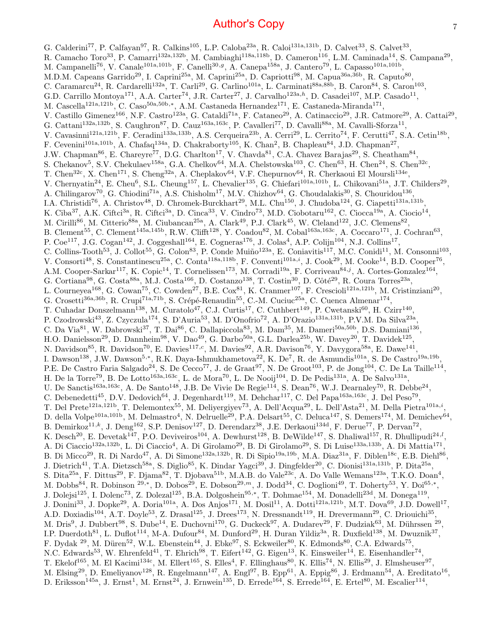G. Calderini<sup>77</sup>, P. Calfayan<sup>97</sup>, R. Calkins<sup>105</sup>, L.P. Caloba<sup>23a</sup>, R. Caloi<sup>131a,131b</sup>, D. Calvet<sup>33</sup>, S. Calvet<sup>33</sup>, R. Camacho Toro<sup>33</sup>, P. Camarri<sup>132a,132b</sup>, M. Cambiaghi<sup>118a,118b</sup>, D. Cameron<sup>116</sup>, L.M. Caminada<sup>14</sup>, S. Campana<sup>29</sup>, M. Campanelli<sup>76</sup>, V. Canale<sup>101a,101b</sup>, F. Canelli<sup>30,g</sup>, A. Canepa<sup>158a</sup>, J. Cantero<sup>79</sup>, L. Capasso<sup>101a,101b</sup>, M.D.M. Capeans Garrido<sup>29</sup>, I. Caprini<sup>25a</sup>, M. Caprini<sup>25a</sup>, D. Capriotti<sup>98</sup>, M. Capua<sup>36a,36b</sup>, R. Caputo<sup>80</sup>, C. Caramarcu<sup>24</sup>, R. Cardarelli<sup>132a</sup>, T. Carli<sup>29</sup>, G. Carlino<sup>101a</sup>, L. Carminati<sup>88a,88b</sup>, B. Caron<sup>84</sup>, S. Caron<sup>103</sup>, G.D. Carrillo Montoya<sup>171</sup>, A.A. Carter<sup>74</sup>, J.R. Carter<sup>27</sup>, J. Carvalho<sup>123a,h</sup>, D. Casadei<sup>107</sup>, M.P. Casado<sup>11</sup>, M. Cascella<sup>121a,121b</sup>, C. Caso<sup>50a,50b,\*</sup>, A.M. Castaneda Hernandez<sup>171</sup>, E. Castaneda-Miranda<sup>171</sup>, V. Castillo Gimenez<sup>166</sup>, N.F. Castro<sup>123a</sup>, G. Cataldi<sup>71a</sup>, F. Cataneo<sup>29</sup>, A. Catinaccio<sup>29</sup>, J.R. Catmore<sup>29</sup>, A. Cattai<sup>29</sup>, G. Cattani<sup>132a,132b</sup>, S. Caughron<sup>87</sup>, D. Cauz<sup>163a,163c</sup>, P. Cavalleri<sup>77</sup>, D. Cavalli<sup>88a</sup>, M. Cavalli-Sforza<sup>11</sup>, V. Cavasinni<sup>121a,121b</sup>, F. Ceradini<sup>133a,133b</sup>, A.S. Cerqueira<sup>23b</sup>, A. Cerri<sup>29</sup>, L. Cerrito<sup>74</sup>, F. Cerutti<sup>47</sup>, S.A. Cetin<sup>18b</sup>, F. Cevenini<sup>101a,101b</sup>, A. Chafaq<sup>134a</sup>, D. Chakraborty<sup>105</sup>, K. Chan<sup>2</sup>, B. Chapleau<sup>84</sup>, J.D. Chapman<sup>27</sup>, J.W. Chapman<sup>86</sup>, E. Chareyre<sup>77</sup>, D.G. Charlton<sup>17</sup>, V. Chavda<sup>81</sup>, C.A. Chavez Barajas<sup>29</sup>, S. Cheatham<sup>84</sup>, S. Chekanov<sup>5</sup>, S.V. Chekulaev<sup>158a</sup>, G.A. Chelkov<sup>64</sup>, M.A. Chelstowska<sup>103</sup>, C. Chen<sup>63</sup>, H. Chen<sup>24</sup>, S. Chen<sup>32c</sup>, T. Chen<sup>32c</sup>, X. Chen<sup>171</sup>, S. Cheng<sup>32a</sup>, A. Cheplakov<sup>64</sup>, V.F. Chepurnov<sup>64</sup>, R. Cherkaoui El Moursli<sup>134e</sup>, V. Chernyatin<sup>24</sup>, E. Cheu<sup>6</sup>, S.L. Cheung<sup>157</sup>, L. Chevalier<sup>135</sup>, G. Chiefari<sup>101a,101b</sup>, L. Chikovani<sup>51a</sup>, J.T. Childers<sup>29</sup>, A. Chilingarov<sup>70</sup>, G. Chiodini<sup>71a</sup>, A.S. Chisholm<sup>17</sup>, M.V. Chizhov<sup>64</sup>, G. Choudalakis<sup>30</sup>, S. Chouridou<sup>136</sup>, I.A. Christidi<sup>76</sup>, A. Christov<sup>48</sup>, D. Chromek-Burckhart<sup>29</sup>, M.L. Chu<sup>150</sup>, J. Chudoba<sup>124</sup>, G. Ciapetti<sup>131a,131b</sup>, K. Ciba<sup>37</sup>, A.K. Ciftci<sup>3a</sup>, R. Ciftci<sup>3a</sup>, D. Cinca<sup>33</sup>, V. Cindro<sup>73</sup>, M.D. Ciobotaru<sup>162</sup>, C. Ciocca<sup>19a</sup>, A. Ciocio<sup>14</sup>, M. Cirilli<sup>86</sup>, M. Citterio<sup>88a</sup>, M. Ciubancan<sup>25a</sup>, A. Clark<sup>49</sup>, P.J. Clark<sup>45</sup>, W. Cleland<sup>122</sup>, J.C. Clemens<sup>82</sup>, B. Clement<sup>55</sup>, C. Clement<sup>145a,145b</sup>, R.W. Clifft<sup>128</sup>, Y. Coadou<sup>82</sup>, M. Cobal<sup>163a,163c</sup>, A. Coccaro<sup>171</sup>, J. Cochran<sup>63</sup>, P. Coe<sup>117</sup>, J.G. Cogan<sup>142</sup>, J. Coggeshall<sup>164</sup>, E. Cogneras<sup>176</sup>, J. Colas<sup>4</sup>, A.P. Colijn<sup>104</sup>, N.J. Collins<sup>17</sup>, C. Collins-Tooth<sup>53</sup>, J. Collot<sup>55</sup>, G. Colon<sup>83</sup>, P. Conde Muiño<sup>123a</sup>, E. Coniavitis<sup>117</sup>, M.C. Conidi<sup>11</sup>, M. Consonni<sup>103</sup>, V. Consorti<sup>48</sup>, S. Constantinescu<sup>25a</sup>, C. Conta<sup>118a,118b</sup>, F. Conventi<sup>101a,i</sup>, J. Cook<sup>29</sup>, M. Cooke<sup>14</sup>, B.D. Cooper<sup>76</sup>, A.M. Cooper-Sarkar<sup>117</sup>, K. Copic<sup>14</sup>, T. Cornelissen<sup>173</sup>, M. Corradi<sup>19a</sup>, F. Corriveau<sup>84,j</sup>, A. Cortes-Gonzalez<sup>164</sup>, G. Cortiana<sup>98</sup>, G. Costa<sup>88a</sup>, M.J. Costa<sup>166</sup>, D. Costanzo<sup>138</sup>, T. Costin<sup>30</sup>, D. Côté<sup>29</sup>, R. Coura Torres<sup>23a</sup>, L. Courneyea<sup>168</sup>, G. Cowan<sup>75</sup>, C. Cowden<sup>27</sup>, B.E. Cox<sup>81</sup>, K. Cranmer<sup>107</sup>, F. Crescioli<sup>121a,121b</sup>, M. Cristinziani<sup>20</sup>, G. Crosetti<sup>36a,36b</sup>, R. Crupi<sup>71a,71b</sup>, S. Crépé-Renaudin<sup>55</sup>, C.-M. Cuciuc<sup>25a</sup>, C. Cuenca Almenar<sup>174</sup>, T. Cuhadar Donszelmann<sup>138</sup>, M. Curatolo<sup>47</sup>, C.J. Curtis<sup>17</sup>, C. Cuthbert<sup>149</sup>, P. Cwetanski<sup>60</sup>, H. Czirr<sup>140</sup>, P. Czodrowski<sup>43</sup>, Z. Czyczula<sup>174</sup>, S. D'Auria<sup>53</sup>, M. D'Onofrio<sup>72</sup>, A. D'Orazio<sup>131a,131b</sup>, P.V.M. Da Silva<sup>23a</sup>, C. Da Via<sup>81</sup>, W. Dabrowski<sup>37</sup>, T. Dai<sup>86</sup>, C. Dallapiccola<sup>83</sup>, M. Dam<sup>35</sup>, M. Dameri<sup>50a,50b</sup>, D.S. Damiani<sup>136</sup>, H.O. Danielsson<sup>29</sup>, D. Dannheim<sup>98</sup>, V. Dao<sup>49</sup>, G. Darbo<sup>50a</sup>, G.L. Darlea<sup>25b</sup>, W. Davey<sup>20</sup>, T. Davidek<sup>125</sup>, N. Davidson<sup>85</sup>, R. Davidson<sup>70</sup>, E. Davies<sup>117,c</sup>, M. Davies<sup>92</sup>, A.R. Davison<sup>76</sup>, Y. Davygora<sup>58a</sup>, E. Dawe<sup>141</sup>, I. Dawson<sup>138</sup>, J.W. Dawson<sup>5,\*</sup>, R.K. Daya-Ishmukhametova<sup>22</sup>, K. De<sup>7</sup>, R. de Asmundis<sup>101a</sup>, S. De Castro<sup>19a,19b</sup>, P.E. De Castro Faria Salgado<sup>24</sup>, S. De Cecco<sup>77</sup>, J. de Graat<sup>97</sup>, N. De Groot<sup>103</sup>, P. de Jong<sup>104</sup>, C. De La Taille<sup>114</sup>, H. De la Torre<sup>79</sup>, B. De Lotto<sup>163a,163c</sup>, L. de Mora<sup>70</sup>, L. De Nooij<sup>104</sup>, D. De Pedis<sup>131a</sup>, A. De Salvo<sup>131a</sup>, U. De Sanctis<sup>163a,163c</sup>, A. De Santo<sup>148</sup>, J.B. De Vivie De Regie<sup>114</sup>, S. Dean<sup>76</sup>, W.J. Dearnaley<sup>70</sup>, R. Debbe<sup>24</sup>, C. Debenedetti<sup>45</sup>, D.V. Dedovich<sup>64</sup>, J. Degenhardt<sup>119</sup>, M. Dehchar<sup>117</sup>, C. Del Papa<sup>163a,163c</sup>, J. Del Peso<sup>79</sup>, T. Del Prete<sup>121a,121b</sup>, T. Delemontex<sup>55</sup>, M. Deliyergiyev<sup>73</sup>, A. Dell'Acqua<sup>29</sup>, L. Dell'Asta<sup>21</sup>, M. Della Pietra<sup>101a,i</sup>, D. della Volpe<sup>101a,101b</sup>, M. Delmastro<sup>4</sup>, N. Delruelle<sup>29</sup>, P.A. Delsart<sup>55</sup>, C. Deluca<sup>147</sup>, S. Demers<sup>174</sup>, M. Demichev<sup>64</sup>, B. Demirkoz<sup>11,k</sup>, J. Deng<sup>162</sup>, S.P. Denisov<sup>127</sup>, D. Derendarz<sup>38</sup>, J.E. Derkaoui<sup>134d</sup>, F. Derue<sup>77</sup>, P. Dervan<sup>72</sup>, K. Desch<sup>20</sup>, E. Devetak<sup>147</sup>, P.O. Deviveiros<sup>104</sup>, A. Dewhurst<sup>128</sup>, B. DeWilde<sup>147</sup>, S. Dhaliwal<sup>157</sup>, R. Dhullipudi<sup>24,*l*</sup>, A. Di Ciaccio<sup>132a,132b</sup>, L. Di Ciaccio<sup>4</sup>, A. Di Girolamo<sup>29</sup>, B. Di Girolamo<sup>29</sup>, S. Di Luise<sup>133a,133b</sup>, A. Di Mattia<sup>171</sup>, B. Di Micco<sup>29</sup>, R. Di Nardo<sup>47</sup>, A. Di Simone<sup>132a,132b</sup>, R. Di Sipio<sup>19a,19b</sup>, M.A. Diaz<sup>31a</sup>, F. Diblen<sup>18c</sup>, E.B. Diehl<sup>86</sup>, J. Dietrich<sup>41</sup>, T.A. Dietzsch<sup>58a</sup>, S. Diglio<sup>85</sup>, K. Dindar Yagci<sup>39</sup>, J. Dingfelder<sup>20</sup>, C. Dionisi<sup>131a,131b</sup>, P. Dita<sup>25a</sup>, S. Dita<sup>25a</sup>, F. Dittus<sup>29</sup>, F. Djama<sup>82</sup>, T. Djobava<sup>51b</sup>, M.A.B. do Vale<sup>23c</sup>, A. Do Valle Wemans<sup>123a</sup>, T.K.O. Doan<sup>4</sup>, M. Dobbs<sup>84</sup>, R. Dobinson <sup>29,\*</sup>, D. Dobos<sup>29</sup>, E. Dobson<sup>29,*m*</sup>, J. Dodd<sup>34</sup>, C. Doglioni<sup>49</sup>, T. Doherty<sup>53</sup>, Y. Doi<sup>65,\*</sup>, J. Dolejsi<sup>125</sup>, I. Dolenc<sup>73</sup>, Z. Dolezal<sup>125</sup>, B.A. Dolgoshein<sup>95,\*</sup>, T. Dohmae<sup>154</sup>, M. Donadelli<sup>23d</sup>, M. Donega<sup>119</sup>, J. Donini<sup>33</sup>, J. Dopke<sup>29</sup>, A. Doria<sup>101a</sup>, A. Dos Anjos<sup>171</sup>, M. Dosil<sup>11</sup>, A. Dotti<sup>121a,121b</sup>, M.T. Dova<sup>69</sup>, J.D. Dowell<sup>17</sup>, A.D. Doxiadis<sup>104</sup>, A.T. Doyle<sup>53</sup>, Z. Drasal<sup>125</sup>, J. Drees<sup>173</sup>, N. Dressnandt<sup>119</sup>, H. Drevermann<sup>29</sup>, C. Driouichi<sup>35</sup>, M. Dris<sup>9</sup>, J. Dubbert<sup>98</sup>, S. Dube<sup>14</sup>, E. Duchovni<sup>170</sup>, G. Duckeck<sup>97</sup>, A. Dudarev<sup>29</sup>, F. Dudziak<sup>63</sup>, M. Dührssen <sup>29</sup>, I.P. Duerdoth<sup>81</sup>, L. Duflot<sup>114</sup>, M-A. Dufour<sup>84</sup>, M. Dunford<sup>29</sup>, H. Duran Yildiz<sup>3a</sup>, R. Duxfield<sup>138</sup>, M. Dwuznik<sup>37</sup>, F. Dydak <sup>29</sup>, M. Düren<sup>52</sup>, W.L. Ebenstein<sup>44</sup>, J. Ebke<sup>97</sup>, S. Eckweiler<sup>80</sup>, K. Edmonds<sup>80</sup>, C.A. Edwards<sup>75</sup>, N.C. Edwards<sup>53</sup>, W. Ehrenfeld<sup>41</sup>, T. Ehrich<sup>98</sup>, T. Eifert<sup>142</sup>, G. Eigen<sup>13</sup>, K. Einsweiler<sup>14</sup>, E. Eisenhandler<sup>74</sup>, T. Ekelof<sup>165</sup>, M. El Kacimi<sup>134c</sup>, M. Ellert<sup>165</sup>, S. Elles<sup>4</sup>, F. Ellinghaus<sup>80</sup>, K. Ellis<sup>74</sup>, N. Ellis<sup>29</sup>, J. Elmsheuser<sup>97</sup>, M. Elsing<sup>29</sup>, D. Emeliyanov<sup>128</sup>, R. Engelmann<sup>147</sup>, A. Engl<sup>97</sup>, B. Epp<sup>61</sup>, A. Eppig<sup>86</sup>, J. Erdmann<sup>54</sup>, A. Ereditato<sup>16</sup>, D. Eriksson<sup>145a</sup>, J. Ernst<sup>1</sup>, M. Ernst<sup>24</sup>, J. Ernwein<sup>135</sup>, D. Errede<sup>164</sup>, S. Errede<sup>164</sup>, E. Ertel<sup>80</sup>, M. Escalier<sup>114</sup>,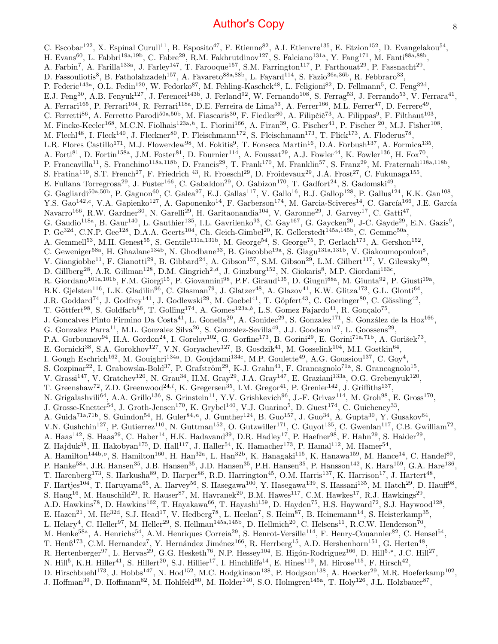C. Escobar<sup>122</sup>, X. Espinal Curull<sup>11</sup>, B. Esposito<sup>47</sup>, F. Etienne<sup>82</sup>, A.I. Etienvre<sup>135</sup>, E. Etzion<sup>152</sup>, D. Evangelakou<sup>54</sup>, H. Evans<sup>60</sup>, L. Fabbri<sup>19a,19b</sup>, C. Fabre<sup>29</sup>, R.M. Fakhrutdinov<sup>127</sup>, S. Falciano<sup>131a</sup>, Y. Fang<sup>171</sup>, M. Fanti<sup>88a,88b</sup>, A. Farbin<sup>7</sup>, A. Farilla<sup>133a</sup>, J. Farley<sup>147</sup>, T. Farooque<sup>157</sup>, S.M. Farrington<sup>117</sup>, P. Farthouat<sup>29</sup>, P. Fassnacht<sup>29</sup>, D. Fassouliotis<sup>8</sup>, B. Fatholahzadeh<sup>157</sup>, A. Favareto<sup>88a,88b</sup>, L. Fayard<sup>114</sup>, S. Fazio<sup>36a,36b</sup>, R. Febbraro<sup>33</sup>, P. Federic<sup>143a</sup>, O.L. Fedin<sup>120</sup>, W. Fedorko<sup>87</sup>, M. Fehling-Kaschek<sup>48</sup>, L. Feligioni<sup>82</sup>, D. Fellmann<sup>5</sup>, C. Feng<sup>32d</sup>, E.J. Feng<sup>30</sup>, A.B. Fenyuk<sup>127</sup>, J. Ferencei<sup>143b</sup>, J. Ferland<sup>92</sup>, W. Fernando<sup>108</sup>, S. Ferrag<sup>53</sup>, J. Ferrando<sup>53</sup>, V. Ferrara<sup>41</sup>, A. Ferrari<sup>165</sup>, P. Ferrari<sup>104</sup>, R. Ferrari<sup>118a</sup>, D.E. Ferreira de Lima<sup>53</sup>, A. Ferrer<sup>166</sup>, M.L. Ferrer<sup>47</sup>, D. Ferrere<sup>49</sup>, C. Ferretti<sup>86</sup>, A. Ferretto Parodi<sup>50a,50b</sup>, M. Fiascaris<sup>30</sup>, F. Fiedler<sup>80</sup>, A. Filipčič<sup>73</sup>, A. Filippas<sup>9</sup>, F. Filthaut<sup>103</sup>, M. Fincke-Keeler<sup>168</sup>, M.C.N. Fiolhais<sup>123a,h</sup>, L. Fiorini<sup>166</sup>, A. Firan<sup>39</sup>, G. Fischer<sup>41</sup>, P. Fischer <sup>20</sup>, M.J. Fisher<sup>108</sup>, M. Flechl<sup>48</sup>, I. Fleck<sup>140</sup>, J. Fleckner<sup>80</sup>, P. Fleischmann<sup>172</sup>, S. Fleischmann<sup>173</sup>, T. Flick<sup>173</sup>, A. Floderus<sup>78</sup>, L.R. Flores Castillo<sup>171</sup>, M.J. Flowerdew<sup>98</sup>, M. Fokitis<sup>9</sup>, T. Fonseca Martin<sup>16</sup>, D.A. Forbush<sup>137</sup>, A. Formica<sup>135</sup>, A. Forti<sup>81</sup>, D. Fortin<sup>158a</sup>, J.M. Foster<sup>81</sup>, D. Fournier<sup>114</sup>, A. Foussat<sup>29</sup>, A.J. Fowler<sup>44</sup>, K. Fowler<sup>136</sup>, H. Fox<sup>70</sup>, P. Francavilla<sup>11</sup>, S. Franchino<sup>118a,118b</sup>, D. Francis<sup>29</sup>, T. Frank<sup>170</sup>, M. Franklin<sup>57</sup>, S. Franz<sup>29</sup>, M. Fraternali<sup>118a,118b</sup>, S. Fratina<sup>119</sup>, S.T. French<sup>27</sup>, F. Friedrich <sup>43</sup>, R. Froeschl<sup>29</sup>, D. Froidevaux<sup>29</sup>, J.A. Frost<sup>27</sup>, C. Fukunaga<sup>155</sup>, E. Fullana Torregrosa<sup>29</sup>, J. Fuster<sup>166</sup>, C. Gabaldon<sup>29</sup>, O. Gabizon<sup>170</sup>, T. Gadfort<sup>24</sup>, S. Gadomski<sup>49</sup>, G. Gagliardi<sup>50a,50b</sup>, P. Gagnon<sup>60</sup>, C. Galea<sup>97</sup>, E.J. Gallas<sup>117</sup>, V. Gallo<sup>16</sup>, B.J. Gallop<sup>128</sup>, P. Gallus<sup>124</sup>, K.K. Gan<sup>108</sup>, Y.S. Gao<sup>142,e</sup>, V.A. Gapienko<sup>127</sup>, A. Gaponenko<sup>14</sup>, F. Garberson<sup>174</sup>, M. Garcia-Sciveres<sup>14</sup>, C. García<sup>166</sup>, J.E. García Navarro<sup>166</sup>, R.W. Gardner<sup>30</sup>, N. Garelli<sup>29</sup>, H. Garitaonandia<sup>104</sup>, V. Garonne<sup>29</sup>, J. Garvey<sup>17</sup>, C. Gatti<sup>47</sup>, G. Gaudio<sup>118a</sup>, B. Gaur<sup>140</sup>, L. Gauthier<sup>135</sup>, I.L. Gavrilenko<sup>93</sup>, C. Gay<sup>167</sup>, G. Gaycken<sup>20</sup>, J-C. Gayde<sup>29</sup>, E.N. Gazis<sup>9</sup>, P. Ge<sup>32d</sup>, C.N.P. Gee<sup>128</sup>, D.A.A. Geerts<sup>104</sup>, Ch. Geich-Gimbel<sup>20</sup>, K. Gellerstedt<sup>145a,145b</sup>, C. Gemme<sup>50a</sup>, A. Gemmell<sup>53</sup>, M.H. Genest<sup>55</sup>, S. Gentile<sup>131a,131b</sup>, M. George<sup>54</sup>, S. George<sup>75</sup>, P. Gerlach<sup>173</sup>, A. Gershon<sup>152</sup>, C. Geweniger<sup>58a</sup>, H. Ghazlane<sup>134b</sup>, N. Ghodbane<sup>33</sup>, B. Giacobbe<sup>19a</sup>, S. Giagu<sup>131a,131b</sup>, V. Giakoumopoulou<sup>8</sup>, V. Giangiobbe<sup>11</sup>, F. Gianotti<sup>29</sup>, B. Gibbard<sup>24</sup>, A. Gibson<sup>157</sup>, S.M. Gibson<sup>29</sup>, L.M. Gilbert<sup>117</sup>, V. Gilewsky<sup>90</sup>, D. Gillberg<sup>28</sup>, A.R. Gillman<sup>128</sup>, D.M. Gingrich<sup>2,d</sup>, J. Ginzburg<sup>152</sup>, N. Giokaris<sup>8</sup>, M.P. Giordani<sup>163c</sup>, R. Giordano<sup>101a,101b</sup>, F.M. Giorgi<sup>15</sup>, P. Giovannini<sup>98</sup>, P.F. Giraud<sup>135</sup>, D. Giugni<sup>88a</sup>, M. Giunta<sup>92</sup>, P. Giusti<sup>19a</sup>, B.K. Gjelsten<sup>116</sup>, L.K. Gladilin<sup>96</sup>, C. Glasman<sup>79</sup>, J. Glatzer<sup>48</sup>, A. Glazov<sup>41</sup>, K.W. Glitza<sup>173</sup>, G.L. Glonti<sup>64</sup>, J.R. Goddard<sup>74</sup>, J. Godfrey<sup>141</sup>, J. Godlewski<sup>29</sup>, M. Goebel<sup>41</sup>, T. Göpfert<sup>43</sup>, C. Goeringer<sup>80</sup>, C. Gössling<sup>42</sup>, T. Göttfert<sup>98</sup>, S. Goldfarb<sup>86</sup>, T. Golling<sup>174</sup>, A. Gomes<sup>123a,b</sup>, L.S. Gomez Fajardo<sup>41</sup>, R. Gonçalo<sup>75</sup>, J. Goncalves Pinto Firmino Da Costa<sup>41</sup>, L. Gonella<sup>20</sup>, A. Gonidec<sup>29</sup>, S. Gonzalez<sup>171</sup>, S. González de la Hoz<sup>166</sup>, G. Gonzalez Parra<sup>11</sup>, M.L. Gonzalez Silva<sup>26</sup>, S. Gonzalez-Sevilla<sup>49</sup>, J.J. Goodson<sup>147</sup>, L. Goossens<sup>29</sup>, P.A. Gorbounov<sup>94</sup>, H.A. Gordon<sup>24</sup>, I. Gorelov<sup>102</sup>, G. Gorfine<sup>173</sup>, B. Gorini<sup>29</sup>, E. Gorini<sup>71a,71b</sup>, A. Gorišek<sup>73</sup>, E. Gornicki<sup>38</sup>, S.A. Gorokhov<sup>127</sup>, V.N. Goryachev<sup>127</sup>, B. Gosdzik<sup>41</sup>, M. Gosselink<sup>104</sup>, M.I. Gostkin<sup>64</sup>, I. Gough Eschrich<sup>162</sup>, M. Gouighri<sup>134a</sup>, D. Goujdami<sup>134c</sup>, M.P. Goulette<sup>49</sup>, A.G. Goussiou<sup>137</sup>, C. Goy<sup>4</sup>, S. Gozpinar<sup>22</sup>, I. Grabowska-Bold<sup>37</sup>, P. Grafström<sup>29</sup>, K-J. Grahn<sup>41</sup>, F. Grancagnolo<sup>71a</sup>, S. Grancagnolo<sup>15</sup>, V. Grassi<sup>147</sup>, V. Gratchev<sup>120</sup>, N. Grau<sup>34</sup>, H.M. Gray<sup>29</sup>, J.A. Gray<sup>147</sup>, E. Graziani<sup>133a</sup>, O.G. Grebenyuk<sup>120</sup>, T. Greenshaw<sup>72</sup>, Z.D. Greenwood<sup>24,*l*</sup>, K. Gregersen<sup>35</sup>, I.M. Gregor<sup>41</sup>, P. Grenier<sup>142</sup>, J. Griffiths<sup>137</sup>, N. Grigalashvili<sup>64</sup>, A.A. Grillo<sup>136</sup>, S. Grinstein<sup>11</sup>, Y.V. Grishkevich<sup>96</sup>, J.-F. Grivaz<sup>114</sup>, M. Groh<sup>98</sup>, E. Gross<sup>170</sup>, J. Grosse-Knetter<sup>54</sup>, J. Groth-Jensen<sup>170</sup>, K. Grybel<sup>140</sup>, V.J. Guarino<sup>5</sup>, D. Guest<sup>174</sup>, C. Guicheney<sup>33</sup>, A. Guida<sup>71a,71b</sup>, S. Guindon<sup>54</sup>, H. Guler<sup>84,n</sup>, J. Gunther<sup>124</sup>, B. Guo<sup>157</sup>, J. Guo<sup>34</sup>, A. Gupta<sup>30</sup>, Y. Gusakov<sup>64</sup>, V.N. Gushchin<sup>127</sup>, P. Gutierrez<sup>110</sup>, N. Guttman<sup>152</sup>, O. Gutzwiller<sup>171</sup>, C. Guyot<sup>135</sup>, C. Gwenlan<sup>117</sup>, C.B. Gwilliam<sup>72</sup>, A. Haas<sup>142</sup>, S. Haas<sup>29</sup>, C. Haber<sup>14</sup>, H.K. Hadavand<sup>39</sup>, D.R. Hadley<sup>17</sup>, P. Haefner<sup>98</sup>, F. Hahn<sup>29</sup>, S. Haider<sup>29</sup>, Z. Hajduk<sup>38</sup>, H. Hakobyan<sup>175</sup>, D. Hall<sup>117</sup>, J. Haller<sup>54</sup>, K. Hamacher<sup>173</sup>, P. Hamal<sup>112</sup>, M. Hamer<sup>54</sup>, A. Hamilton<sup>144b,o</sup>, S. Hamilton<sup>160</sup>, H. Han<sup>32a</sup>, L. Han<sup>32b</sup>, K. Hanagaki<sup>115</sup>, K. Hanawa<sup>159</sup>, M. Hance<sup>14</sup>, C. Handel<sup>80</sup>, P. Hanke<sup>58a</sup>, J.R. Hansen<sup>35</sup>, J.B. Hansen<sup>35</sup>, J.D. Hansen<sup>35</sup>, P.H. Hansen<sup>35</sup>, P. Hansson<sup>142</sup>, K. Hara<sup>159</sup>, G.A. Hare<sup>136</sup>, T. Harenberg<sup>173</sup>, S. Harkusha<sup>89</sup>, D. Harper<sup>86</sup>, R.D. Harrington<sup>45</sup>, O.M. Harris<sup>137</sup>, K. Harrison<sup>17</sup>, J. Hartert<sup>48</sup>, F. Hartjes<sup>104</sup>, T. Haruyama<sup>65</sup>, A. Harvey<sup>56</sup>, S. Hasegawa<sup>100</sup>, Y. Hasegawa<sup>139</sup>, S. Hassani<sup>135</sup>, M. Hatch<sup>29</sup>, D. Hauff<sup>98</sup>, S. Haug<sup>16</sup>, M. Hauschild<sup>29</sup>, R. Hauser<sup>87</sup>, M. Havranek<sup>20</sup>, B.M. Hawes<sup>117</sup>, C.M. Hawkes<sup>17</sup>, R.J. Hawkings<sup>29</sup>, A.D. Hawkins<sup>78</sup>, D. Hawkins<sup>162</sup>, T. Hayakawa<sup>66</sup>, T. Hayashi<sup>159</sup>, D. Hayden<sup>75</sup>, H.S. Hayward<sup>72</sup>, S.J. Haywood<sup>128</sup>, E. Hazen<sup>21</sup>, M. He<sup>32d</sup>, S.J. Head<sup>17</sup>, V. Hedberg<sup>78</sup>, L. Heelan<sup>7</sup>, S. Heim<sup>87</sup>, B. Heinemann<sup>14</sup>, S. Heisterkamp<sup>35</sup>, L. Helary<sup>4</sup>, C. Heller<sup>97</sup>, M. Heller<sup>29</sup>, S. Hellman<sup>145a,145b</sup>, D. Hellmich<sup>20</sup>, C. Helsens<sup>11</sup>, R.C.W. Henderson<sup>70</sup>, M. Henke<sup>58a</sup>, A. Henrichs<sup>54</sup>, A.M. Henriques Correia<sup>29</sup>, S. Henrot-Versille<sup>114</sup>, F. Henry-Couannier<sup>82</sup>, C. Hensel<sup>54</sup>, T. Henß<sup>173</sup>, C.M. Hernandez<sup>7</sup>, Y. Hernández Jiménez<sup>166</sup>, R. Herrberg<sup>15</sup>, A.D. Hershenhorn<sup>151</sup>, G. Herten<sup>48</sup>, R. Hertenberger<sup>97</sup>, L. Hervas<sup>29</sup>, G.G. Hesketh<sup>76</sup>, N.P. Hessey<sup>104</sup>, E. Higón-Rodriguez<sup>166</sup>, D. Hill<sup>5,\*</sup>, J.C. Hill<sup>27</sup>, N. Hill<sup>5</sup>, K.H. Hiller<sup>41</sup>, S. Hillert<sup>20</sup>, S.J. Hillier<sup>17</sup>, I. Hinchliffe<sup>14</sup>, E. Hines<sup>119</sup>, M. Hirose<sup>115</sup>, F. Hirsch<sup>42</sup>, D. Hirschbuehl<sup>173</sup>, J. Hobbs<sup>147</sup>, N. Hod<sup>152</sup>, M.C. Hodgkinson<sup>138</sup>, P. Hodgson<sup>138</sup>, A. Hoecker<sup>29</sup>, M.R. Hoeferkamp<sup>102</sup>,

J. Hoffman<sup>39</sup>, D. Hoffmann<sup>82</sup>, M. Hohlfeld<sup>80</sup>, M. Holder<sup>140</sup>, S.O. Holmgren<sup>145a</sup>, T. Holy<sup>126</sup>, J.L. Holzbauer<sup>87</sup>,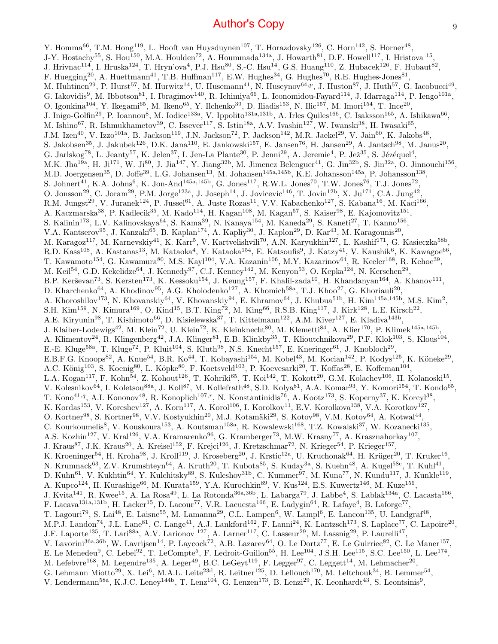Y. Homma<sup>66</sup>, T.M. Hong<sup>119</sup>, L. Hooft van Huysduynen<sup>107</sup>, T. Horazdovsky<sup>126</sup>, C. Horn<sup>142</sup>, S. Horner<sup>48</sup>, J-Y. Hostachy<sup>55</sup>, S. Hou<sup>150</sup>, M.A. Houlden<sup>72</sup>, A. Hoummada<sup>134a</sup>, J. Howarth<sup>81</sup>, D.F. Howell<sup>117</sup>, I. Hristova <sup>15</sup>, J. Hrivnac<sup>114</sup>, I. Hruska<sup>124</sup>, T. Hryn'ova<sup>4</sup>, P.J. Hsu<sup>80</sup>, S.-C. Hsu<sup>14</sup>, G.S. Huang<sup>110</sup>, Z. Hubacek<sup>126</sup>, F. Hubaut<sup>82</sup>, F. Huegging<sup>20</sup>, A. Huettmann<sup>41</sup>, T.B. Huffman<sup>117</sup>, E.W. Hughes<sup>34</sup>, G. Hughes<sup>70</sup>, R.E. Hughes-Jones<sup>81</sup>, M. Huhtinen<sup>29</sup>, P. Hurst<sup>57</sup>, M. Hurwitz<sup>14</sup>, U. Husemann<sup>41</sup>, N. Huseynov<sup>64,p</sup>, J. Huston<sup>87</sup>, J. Huth<sup>57</sup>, G. Iacobucci<sup>49</sup>, G. Iakovidis<sup>9</sup>, M. Ibbotson<sup>81</sup>, I. Ibragimov<sup>140</sup>, R. Ichimiya<sup>66</sup>, L. Iconomidou-Fayard<sup>114</sup>, J. Idarraga<sup>114</sup>, P. Iengo<sup>101a</sup>, O. Igonkina<sup>104</sup>, Y. Ikegami<sup>65</sup>, M. Ikeno<sup>65</sup>, Y. Ilchenko<sup>39</sup>, D. Iliadis<sup>153</sup>, N. Ilic<sup>157</sup>, M. Imori<sup>154</sup>, T. Ince<sup>20</sup>, J. Inigo-Golfin<sup>29</sup>, P. Ioannou<sup>8</sup>, M. Iodice<sup>133a</sup>, V. Ippolito<sup>131a,131b</sup>, A. Irles Quiles<sup>166</sup>, C. Isaksson<sup>165</sup>, A. Ishikawa<sup>66</sup>, M. Ishino<sup>67</sup>, R. Ishmukhametov<sup>39</sup>, C. Issever<sup>117</sup>, S. Istin<sup>18a</sup>, A.V. Ivashin<sup>127</sup>, W. Iwanski<sup>38</sup>, H. Iwasaki<sup>65</sup>, J.M. Izen<sup>40</sup>, V. Izzo<sup>101a</sup>, B. Jackson<sup>119</sup>, J.N. Jackson<sup>72</sup>, P. Jackson<sup>142</sup>, M.R. Jaekel<sup>29</sup>, V. Jain<sup>60</sup>, K. Jakobs<sup>48</sup>, S. Jakobsen<sup>35</sup>, J. Jakubek<sup>126</sup>, D.K. Jana<sup>110</sup>, E. Jankowski<sup>157</sup>, E. Jansen<sup>76</sup>, H. Jansen<sup>29</sup>, A. Jantsch<sup>98</sup>, M. Janus<sup>20</sup>, G. Jarlskog<sup>78</sup>, L. Jeanty<sup>57</sup>, K. Jelen<sup>37</sup>, I. Jen-La Plante<sup>30</sup>, P. Jenni<sup>29</sup>, A. Jeremie<sup>4</sup>, P. Jež<sup>35</sup>, S. Jézéquel<sup>4</sup>, M.K. Jha<sup>19a</sup>, H. Ji<sup>171</sup>, W. Ji<sup>80</sup>, J. Jia<sup>147</sup>, Y. Jiang<sup>32b</sup>, M. Jimenez Belenguer<sup>41</sup>, G. Jin<sup>32b</sup>, S. Jin<sup>32a</sup>, O. Jinnouchi<sup>156</sup>, M.D. Joergensen<sup>35</sup>, D. Joffe<sup>39</sup>, L.G. Johansen<sup>13</sup>, M. Johansen<sup>145a,145b</sup>, K.E. Johansson<sup>145a</sup>, P. Johansson<sup>138</sup>, S. Johnert<sup>41</sup>, K.A. Johns<sup>6</sup>, K. Jon-And<sup>145a,145b</sup>, G. Jones<sup>117</sup>, R.W.L. Jones<sup>70</sup>, T.W. Jones<sup>76</sup>, T.J. Jones<sup>72</sup>, O. Jonsson<sup>29</sup>, C. Joram<sup>29</sup>, P.M. Jorge<sup>123a</sup>, J. Joseph<sup>14</sup>, J. Jovicevic<sup>146</sup>, T. Jovin<sup>12b</sup>, X. Ju<sup>171</sup>, C.A. Jung<sup>42</sup>, R.M. Jungst<sup>29</sup>, V. Juranek<sup>124</sup>, P. Jussel<sup>61</sup>, A. Juste Rozas<sup>11</sup>, V.V. Kabachenko<sup>127</sup>, S. Kabana<sup>16</sup>, M. Kaci<sup>166</sup>, A. Kaczmarska<sup>38</sup>, P. Kadlecik<sup>35</sup>, M. Kado<sup>114</sup>, H. Kagan<sup>108</sup>, M. Kagan<sup>57</sup>, S. Kaiser<sup>98</sup>, E. Kajomovitz<sup>151</sup>, S. Kalinin<sup>173</sup>, L.V. Kalinovskaya<sup>64</sup>, S. Kama<sup>39</sup>, N. Kanaya<sup>154</sup>, M. Kaneda<sup>29</sup>, S. Kaneti<sup>27</sup>, T. Kanno<sup>156</sup>, V.A. Kantserov<sup>95</sup>, J. Kanzaki<sup>65</sup>, B. Kaplan<sup>174</sup>, A. Kapliy<sup>30</sup>, J. Kaplon<sup>29</sup>, D. Kar<sup>43</sup>, M. Karagounis<sup>20</sup>, M. Karagoz<sup>117</sup>, M. Karnevskiy<sup>41</sup>, K. Karr<sup>5</sup>, V. Kartvelishvili<sup>70</sup>, A.N. Karyukhin<sup>127</sup>, L. Kashif<sup>171</sup>, G. Kasieczka<sup>58b</sup>, R.D. Kass<sup>108</sup>, A. Kastanas<sup>13</sup>, M. Kataoka<sup>4</sup>, Y. Kataoka<sup>154</sup>, E. Katsoufis<sup>9</sup>, J. Katzy<sup>41</sup>, V. Kaushik<sup>6</sup>, K. Kawagoe<sup>66</sup>, T. Kawamoto<sup>154</sup>, G. Kawamura<sup>80</sup>, M.S. Kayl<sup>104</sup>, V.A. Kazanin<sup>106</sup>, M.Y. Kazarinov<sup>64</sup>, R. Keeler<sup>168</sup>, R. Kehoe<sup>39</sup>, M. Keil<sup>54</sup>, G.D. Kekelidze<sup>64</sup>, J. Kennedy<sup>97</sup>, C.J. Kenney<sup>142</sup>, M. Kenyon<sup>53</sup>, O. Kepka<sup>124</sup>, N. Kerschen<sup>29</sup>, B.P. Kerševan<sup>73</sup>, S. Kersten<sup>173</sup>, K. Kessoku<sup>154</sup>, J. Keung<sup>157</sup>, F. Khalil-zada<sup>10</sup>, H. Khandanyan<sup>164</sup>, A. Khanov<sup>111</sup>, D. Kharchenko<sup>64</sup>, A. Khodinov<sup>95</sup>, A.G. Kholodenko<sup>127</sup>, A. Khomich<sup>58a</sup>, T.J. Khoo<sup>27</sup>, G. Khoriauli<sup>20</sup>, A. Khoroshilov<sup>173</sup>, N. Khovanskiy<sup>64</sup>, V. Khovanskiy<sup>94</sup>, E. Khramov<sup>64</sup>, J. Khubua<sup>51b</sup>, H. Kim<sup>145a,145b</sup>, M.S. Kim<sup>2</sup>, S.H. Kim<sup>159</sup>, N. Kimura<sup>169</sup>, O. Kind<sup>15</sup>, B.T. King<sup>72</sup>, M. King<sup>66</sup>, R.S.B. King<sup>117</sup>, J. Kirk<sup>128</sup>, L.E. Kirsch<sup>22</sup>, A.E. Kiryunin<sup>98</sup>, T. Kishimoto<sup>66</sup>, D. Kisielewska<sup>37</sup>, T. Kittelmann<sup>122</sup>, A.M. Kiver<sup>127</sup>, E. Kladiva<sup>143b</sup>, J. Klaiber-Lodewigs<sup>42</sup>, M. Klein<sup>72</sup>, U. Klein<sup>72</sup>, K. Kleinknecht<sup>80</sup>, M. Klemetti<sup>84</sup>, A. Klier<sup>170</sup>, P. Klimek<sup>145a,145b</sup>, A. Klimentov<sup>24</sup>, R. Klingenberg<sup>42</sup>, J.A. Klinger<sup>81</sup>, E.B. Klinkby<sup>35</sup>, T. Klioutchnikova<sup>29</sup>, P.F. Klok<sup>103</sup>, S. Klous<sup>104</sup>, E.-E. Kluge<sup>58a</sup>, T. Kluge<sup>72</sup>, P. Kluit<sup>104</sup>, S. Kluth<sup>98</sup>, N.S. Knecht<sup>157</sup>, E. Kneringer<sup>61</sup>, J. Knobloch<sup>29</sup>, E.B.F.G. Knoops<sup>82</sup>, A. Knue<sup>54</sup>, B.R. Ko<sup>44</sup>, T. Kobayashi<sup>154</sup>, M. Kobel<sup>43</sup>, M. Kocian<sup>142</sup>, P. Kodys<sup>125</sup>, K. Köneke<sup>29</sup>, A.C. König<sup>103</sup>, S. Koenig<sup>80</sup>, L. Köpke<sup>80</sup>, F. Koetsveld<sup>103</sup>, P. Koevesarki<sup>20</sup>, T. Koffas<sup>28</sup>, E. Koffeman<sup>104</sup>, L.A. Kogan<sup>117</sup>, F. Kohn<sup>54</sup>, Z. Kohout<sup>126</sup>, T. Kohriki<sup>65</sup>, T. Koi<sup>142</sup>, T. Kokott<sup>20</sup>, G.M. Kolachev<sup>106</sup>, H. Kolanoski<sup>15</sup>, V. Kolesnikov<sup>64</sup>, I. Koletsou<sup>88a</sup>, J. Koll<sup>87</sup>, M. Kollefrath<sup>48</sup>, S.D. Kolya<sup>81</sup>, A.A. Komar<sup>93</sup>, Y. Komori<sup>154</sup>, T. Kondo<sup>65</sup>, T. Kono<sup>41,q</sup>, A.I. Kononov<sup>48</sup>, R. Konoplich<sup>107,r</sup>, N. Konstantinidis<sup>76</sup>, A. Kootz<sup>173</sup>, S. Koperny<sup>37</sup>, K. Korcyl<sup>38</sup>, K. Kordas<sup>153</sup>, V. Koreshev<sup>127</sup>, A. Korn<sup>117</sup>, A. Korol<sup>106</sup>, I. Korolkov<sup>11</sup>, E.V. Korolkova<sup>138</sup>, V.A. Korotkov<sup>127</sup>, O. Kortner<sup>98</sup>, S. Kortner<sup>98</sup>, V.V. Kostyukhin<sup>20</sup>, M.J. Kotamäki<sup>29</sup>, S. Kotov<sup>98</sup>, V.M. Kotov<sup>64</sup>, A. Kotwal<sup>44</sup>, C. Kourkoumelis<sup>8</sup>, V. Kouskoura<sup>153</sup>, A. Koutsman<sup>158a</sup>, R. Kowalewski<sup>168</sup>, T.Z. Kowalski<sup>37</sup>, W. Kozanecki<sup>135</sup>, A.S. Kozhin<sup>127</sup>, V. Kral<sup>126</sup>, V.A. Kramarenko<sup>96</sup>, G. Kramberger<sup>73</sup>, M.W. Krasny<sup>77</sup>, A. Krasznahorkay<sup>107</sup>, J. Kraus<sup>87</sup>, J.K. Kraus<sup>20</sup>, A. Kreisel<sup>152</sup>, F. Krejci<sup>126</sup>, J. Kretzschmar<sup>72</sup>, N. Krieger<sup>54</sup>, P. Krieger<sup>157</sup>, K. Kroeninger<sup>54</sup>, H. Kroha<sup>98</sup>, J. Kroll<sup>119</sup>, J. Kroseberg<sup>20</sup>, J. Krstic<sup>12a</sup>, U. Kruchonak<sup>64</sup>, H. Krüger<sup>20</sup>, T. Kruker<sup>16</sup>, N. Krumnack<sup>63</sup>, Z.V. Krumshteyn<sup>64</sup>, A. Kruth<sup>20</sup>, T. Kubota<sup>85</sup>, S. Kuday<sup>3a</sup>, S. Kuehn<sup>48</sup>, A. Kugel<sup>58c</sup>, T. Kuhl<sup>41</sup>, D. Kuhn<sup>61</sup>, V. Kukhtin<sup>64</sup>, Y. Kulchitsky<sup>89</sup>, S. Kuleshov<sup>31b</sup>, C. Kummer<sup>97</sup>, M. Kuna<sup>77</sup>, N. Kundu<sup>117</sup>, J. Kunkle<sup>119</sup>, A. Kupco<sup>124</sup>, H. Kurashige<sup>66</sup>, M. Kurata<sup>159</sup>, Y.A. Kurochkin<sup>89</sup>, V. Kus<sup>124</sup>, E.S. Kuwertz<sup>146</sup>, M. Kuze<sup>156</sup>, J. Kvita<sup>141</sup>, R. Kwee<sup>15</sup>, A. La Rosa<sup>49</sup>, L. La Rotonda<sup>36a,36b</sup>, L. Labarga<sup>79</sup>, J. Labbe<sup>4</sup>, S. Lablak<sup>134a</sup>, C. Lacasta<sup>166</sup>, F. Lacava<sup>131a,131b</sup>, H. Lacker<sup>15</sup>, D. Lacour<sup>77</sup>, V.R. Lacuesta<sup>166</sup>, E. Ladygin<sup>64</sup>, R. Lafaye<sup>4</sup>, B. Laforge<sup>77</sup>, T. Lagouri<sup>79</sup>, S. Lai<sup>48</sup>, E. Laisne<sup>55</sup>, M. Lamanna<sup>29</sup>, C.L. Lampen<sup>6</sup>, W. Lampl<sup>6</sup>, E. Lancon<sup>135</sup>, U. Landgraf<sup>48</sup>, M.P.J. Landon<sup>74</sup>, J.L. Lane<sup>81</sup>, C. Lange<sup>41</sup>, A.J. Lankford<sup>162</sup>, F. Lanni<sup>24</sup>, K. Lantzsch<sup>173</sup>, S. Laplace<sup>77</sup>, C. Lapoire<sup>20</sup>, J.F. Laporte<sup>135</sup>, T. Lari<sup>88a</sup>, A.V. Larionov <sup>127</sup>, A. Larner<sup>117</sup>, C. Lasseur<sup>29</sup>, M. Lassnig<sup>29</sup>, P. Laurelli<sup>47</sup>, V. Lavorini<sup>36a,36b</sup>, W. Lavrijsen<sup>14</sup>, P. Laycock<sup>72</sup>, A.B. Lazarev<sup>64</sup>, O. Le Dortz<sup>77</sup>, E. Le Guirriec<sup>82</sup>, C. Le Maner<sup>157</sup>, E. Le Menedeu<sup>9</sup>, C. Lebel<sup>92</sup>, T. LeCompte<sup>5</sup>, F. Ledroit-Guillon<sup>55</sup>, H. Lee<sup>104</sup>, J.S.H. Lee<sup>115</sup>, S.C. Lee<sup>150</sup>, L. Lee<sup>174</sup>, M. Lefebvre<sup>168</sup>, M. Legendre<sup>135</sup>, A. Leger<sup>49</sup>, B.C. LeGeyt<sup>119</sup>, F. Legger<sup>97</sup>, C. Leggett<sup>14</sup>, M. Lehmacher<sup>20</sup>, G. Lehmann Miotto<sup>29</sup>, X. Lei<sup>6</sup>, M.A.L. Leite<sup>23d</sup>, R. Leitner<sup>125</sup>, D. Lellouch<sup>170</sup>, M. Leltchouk<sup>34</sup>, B. Lemmer<sup>54</sup>, V. Lendermann<sup>58a</sup>, K.J.C. Leney<sup>144b</sup>, T. Lenz<sup>104</sup>, G. Lenzen<sup>173</sup>, B. Lenzi<sup>29</sup>, K. Leonhardt<sup>43</sup>, S. Leontsinis<sup>9</sup>,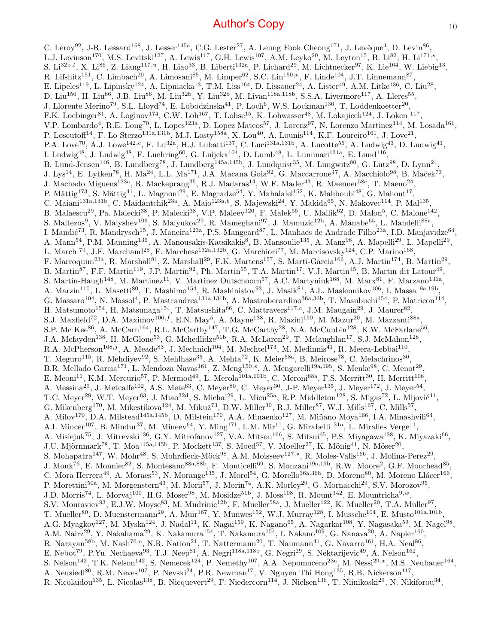C. Leroy<sup>92</sup>, J-R. Lessard<sup>168</sup>, J. Lesser<sup>145a</sup>, C.G. Lester<sup>27</sup>, A. Leung Fook Cheong<sup>171</sup>, J. Levêque<sup>4</sup>, D. Levin<sup>86</sup>, L.J. Levinson<sup>170</sup>, M.S. Levitski<sup>127</sup>, A. Lewis<sup>117</sup>, G.H. Lewis<sup>107</sup>, A.M. Leyko<sup>20</sup>, M. Leyton<sup>15</sup>, B. Li<sup>82</sup>, H. Li<sup>171,s</sup>, S. Li<sup>32b,t</sup>, X. Li<sup>86</sup>, Z. Liang<sup>117,u</sup>, H. Liao<sup>33</sup>, B. Liberti<sup>132a</sup>, P. Lichard<sup>29</sup>, M. Lichtnecker<sup>97</sup>, K. Lie<sup>164</sup>, W. Liebig<sup>13</sup>, R. Lifshitz<sup>151</sup>, C. Limbach<sup>20</sup>, A. Limosani<sup>85</sup>, M. Limper<sup>62</sup>, S.C. Lin<sup>150,</sup><sup>v</sup>, F. Linde<sup>104</sup>, J.T. Linnemann<sup>87</sup>, E. Lipeles<sup>119</sup>, L. Lipinsky<sup>124</sup>, A. Lipniacka<sup>13</sup>, T.M. Liss<sup>164</sup>, D. Lissauer<sup>24</sup>, A. Lister<sup>49</sup>, A.M. Litke<sup>136</sup>, C. Liu<sup>28</sup>, D. Liu<sup>150</sup>, H. Liu<sup>86</sup>, J.B. Liu<sup>86</sup>, M. Liu<sup>32b</sup>, Y. Liu<sup>32b</sup>, M. Livan<sup>118a,118b</sup>, S.S.A. Livermore<sup>117</sup>, A. Lleres<sup>55</sup>, J. Llorente Merino<sup>79</sup>, S.L. Lloyd<sup>74</sup>, E. Lobodzinska<sup>41</sup>, P. Loch<sup>6</sup>, W.S. Lockman<sup>136</sup>, T. Loddenkoetter<sup>20</sup>, F.K. Loebinger<sup>81</sup>, A. Loginov<sup>174</sup>, C.W. Loh<sup>167</sup>, T. Lohse<sup>15</sup>, K. Lohwasser<sup>48</sup>, M. Lokajicek<sup>124</sup>, J. Loken <sup>117</sup>, V.P. Lombardo<sup>4</sup>, R.E. Long<sup>70</sup>, L. Lopes<sup>123a</sup>, D. Lopez Mateos<sup>57</sup>, J. Lorenz<sup>97</sup>, N. Lorenzo Martinez<sup>114</sup>, M. Losada<sup>161</sup>, P. Loscutoff<sup>14</sup>, F. Lo Sterzo<sup>131a,131b</sup>, M.J. Losty<sup>158a</sup>, X. Lou<sup>40</sup>, A. Lounis<sup>114</sup>, K.F. Loureiro<sup>161</sup>, J. Love<sup>21</sup>, P.A. Love<sup>70</sup>, A.J. Lowe<sup>142,e</sup>, F. Lu<sup>32a</sup>, H.J. Lubatti<sup>137</sup>, C. Luci<sup>131a,131b</sup>, A. Lucotte<sup>55</sup>, A. Ludwig<sup>43</sup>, D. Ludwig<sup>41</sup>, I. Ludwig<sup>48</sup>, J. Ludwig<sup>48</sup>, F. Luehring<sup>60</sup>, G. Luijckx<sup>104</sup>, D. Lumb<sup>48</sup>, L. Luminari<sup>131a</sup>, E. Lund<sup>116</sup>, B. Lund-Jensen<sup>146</sup>, B. Lundberg<sup>78</sup>, J. Lundberg<sup>145a,145b</sup>, J. Lundquist<sup>35</sup>, M. Lungwitz<sup>80</sup>, G. Lutz<sup>98</sup>, D. Lynn<sup>24</sup>, J. Lys<sup>14</sup>, E. Lytken<sup>78</sup>, H. Ma<sup>24</sup>, L.L. Ma<sup>171</sup>, J.A. Macana Goia<sup>92</sup>, G. Maccarrone<sup>47</sup>, A. Macchiolo<sup>98</sup>, B. Maček<sup>73</sup>, J. Machado Miguens<sup>123a</sup>, R. Mackeprang<sup>35</sup>, R.J. Madaras<sup>14</sup>, W.F. Mader<sup>43</sup>, R. Maenner<sup>58c</sup>, T. Maeno<sup>24</sup>, P. Mättig<sup>173</sup>, S. Mättig<sup>41</sup>, L. Magnoni<sup>29</sup>, E. Magradze<sup>54</sup>, Y. Mahalalel<sup>152</sup>, K. Mahboubi<sup>48</sup>, G. Mahout<sup>17</sup>, C. Maiani<sup>131a,131b</sup>, C. Maidantchik<sup>23a</sup>, A. Maio<sup>123a,b</sup>, S. Majewski<sup>24</sup>, Y. Makida<sup>65</sup>, N. Makovec<sup>114</sup>, P. Mal<sup>135</sup>, B. Malaescu<sup>29</sup>, Pa. Malecki<sup>38</sup>, P. Malecki<sup>38</sup>, V.P. Maleev<sup>120</sup>, F. Malek<sup>55</sup>, U. Mallik<sup>62</sup>, D. Malon<sup>5</sup>, C. Malone<sup>142</sup>, S. Maltezos<sup>9</sup>, V. Malyshev<sup>106</sup>, S. Malyukov<sup>29</sup>, R. Mameghani<sup>97</sup>, J. Mamuzic<sup>12b</sup>, A. Manabe<sup>65</sup>, L. Mandelli<sup>88a</sup>, I. Mandić<sup>73</sup>, R. Mandrysch<sup>15</sup>, J. Maneira<sup>123a</sup>, P.S. Mangeard<sup>87</sup>, L. Manhaes de Andrade Filho<sup>23a</sup>, I.D. Manjavidze<sup>64</sup>, A. Mann<sup>54</sup>, P.M. Manning<sup>136</sup>, A. Manousakis-Katsikakis<sup>8</sup>, B. Mansoulie<sup>135</sup>, A. Manz<sup>98</sup>, A. Mapelli<sup>29</sup>, L. Mapelli<sup>29</sup>, L. March <sup>79</sup>, J.F. Marchand<sup>28</sup>, F. Marchese<sup>132a,132b</sup>, G. Marchiori<sup>77</sup>, M. Marcisovsky<sup>124</sup>, C.P. Marino<sup>168</sup>, F. Marroquim<sup>23a</sup>, R. Marshall<sup>81</sup>, Z. Marshall<sup>29</sup>, F.K. Martens<sup>157</sup>, S. Marti-Garcia<sup>166</sup>, A.J. Martin<sup>174</sup>, B. Martin<sup>29</sup>, B. Martin<sup>87</sup>, F.F. Martin<sup>119</sup>, J.P. Martin<sup>92</sup>, Ph. Martin<sup>55</sup>, T.A. Martin<sup>17</sup>, V.J. Martin<sup>45</sup>, B. Martin dit Latour<sup>49</sup>, S. Martin-Haugh<sup>148</sup>, M. Martinez<sup>11</sup>, V. Martinez Outschoorn<sup>57</sup>, A.C. Martyniuk<sup>168</sup>, M. Marx<sup>81</sup>, F. Marzano<sup>131a</sup>, A. Marzin<sup>110</sup>, L. Masetti<sup>80</sup>, T. Mashimo<sup>154</sup>, R. Mashinistov<sup>93</sup>, J. Masik<sup>81</sup>, A.L. Maslennikov<sup>106</sup>, I. Massa<sup>19a,19b</sup>, G. Massaro<sup>104</sup>, N. Massol<sup>4</sup>, P. Mastrandrea<sup>131a,131b</sup>, A. Mastroberardino<sup>36a,36b</sup>, T. Masubuchi<sup>154</sup>, P. Matricon<sup>114</sup>, H. Matsumoto<sup>154</sup>, H. Matsunaga<sup>154</sup>, T. Matsushita<sup>66</sup>, C. Mattravers<sup>117,c</sup>, J.M. Maugain<sup>29</sup>, J. Maurer<sup>82</sup>, S.J. Maxfield<sup>72</sup>, D.A. Maximov<sup>106, f</sup>, E.N. May<sup>5</sup>, A. Mayne<sup>138</sup>, R. Mazini<sup>150</sup>, M. Mazur<sup>20</sup>, M. Mazzanti<sup>88a</sup> , S.P. Mc Kee<sup>86</sup>, A. McCarn<sup>164</sup>, R.L. McCarthy<sup>147</sup>, T.G. McCarthy<sup>28</sup>, N.A. McCubbin<sup>128</sup>, K.W. McFarlane<sup>56</sup>, J.A. Mcfayden<sup>138</sup>, H. McGlone<sup>53</sup>, G. Mchedlidze<sup>51b</sup>, R.A. McLaren<sup>29</sup>, T. Mclaughlan<sup>17</sup>, S.J. McMahon<sup>128</sup>, R.A. McPherson<sup>168,j</sup>, A. Meade<sup>83</sup>, J. Mechnich<sup>104</sup>, M. Mechtel<sup>173</sup>, M. Medinnis<sup>41</sup>, R. Meera-Lebbai<sup>110</sup>, T. Meguro<sup>115</sup>, R. Mehdiyev<sup>92</sup>, S. Mehlhase<sup>35</sup>, A. Mehta<sup>72</sup>, K. Meier<sup>58a</sup>, B. Meirose<sup>78</sup>, C. Melachrinos<sup>30</sup>, B.R. Mellado Garcia<sup>171</sup>, L. Mendoza Navas<sup>161</sup>, Z. Meng<sup>150,s</sup>, A. Mengarelli<sup>19a,19b</sup>, S. Menke<sup>98</sup>, C. Menot<sup>29</sup>, E. Meoni<sup>11</sup>, K.M. Mercurio<sup>57</sup>, P. Mermod<sup>49</sup>, L. Merola<sup>101a,101b</sup>, C. Meroni<sup>88a</sup>, F.S. Merritt<sup>30</sup>, H. Merritt<sup>108</sup>, A. Messina<sup>29</sup>, J. Metcalfe<sup>102</sup>, A.S. Mete<sup>63</sup>, C. Meyer<sup>80</sup>, C. Meyer<sup>30</sup>, J-P. Meyer<sup>135</sup>, J. Meyer<sup>172</sup>, J. Meyer<sup>54</sup>, T.C. Meyer<sup>29</sup>, W.T. Meyer<sup>63</sup>, J. Miao<sup>32d</sup>, S. Michal<sup>29</sup>, L. Micu<sup>25a</sup>, R.P. Middleton<sup>128</sup>, S. Migas<sup>72</sup>, L. Mijović<sup>41</sup>, G. Mikenberg<sup>170</sup>, M. Mikestikova<sup>124</sup>, M. Mikuž<sup>73</sup>, D.W. Miller<sup>30</sup>, R.J. Miller<sup>87</sup>, W.J. Mills<sup>167</sup>, C. Mills<sup>57</sup>, A. Milov<sup>170</sup>, D.A. Milstead<sup>145a,145b</sup>, D. Milstein<sup>170</sup>, A.A. Minaenko<sup>127</sup>, M. Miñano Moya<sup>166</sup>, I.A. Minashvili<sup>64</sup>, A.I. Mincer<sup>107</sup>, B. Mindur<sup>37</sup>, M. Mineev<sup>64</sup>, Y. Ming<sup>171</sup>, L.M. Mir<sup>11</sup>, G. Mirabelli<sup>131a</sup>, L. Miralles Verge<sup>11</sup>, A. Misiejuk<sup>75</sup>, J. Mitrevski<sup>136</sup>, G.Y. Mitrofanov<sup>127</sup>, V.A. Mitsou<sup>166</sup>, S. Mitsui<sup>65</sup>, P.S. Miyagawa<sup>138</sup>, K. Miyazaki<sup>66</sup>, J.U. Mjörnmark<sup>78</sup>, T. Moa<sup>145a,145b</sup>, P. Mockett<sup>137</sup>, S. Moed<sup>57</sup>, V. Moeller<sup>27</sup>, K. Mönig<sup>41</sup>, N. Möser<sup>20</sup>, S. Mohapatra<sup>147</sup>, W. Mohr<sup>48</sup>, S. Mohrdieck-Möck<sup>98</sup>, A.M. Moisseev<sup>127,\*</sup>, R. Moles-Valls<sup>166</sup>, J. Molina-Perez<sup>29</sup>, J. Monk<sup>76</sup>, E. Monnier<sup>82</sup>, S. Montesano<sup>88a,88b</sup>, F. Monticelli<sup>69</sup>, S. Monzani<sup>19a,19b</sup>, R.W. Moore<sup>2</sup>, G.F. Moorhead<sup>85</sup>, C. Mora Herrera<sup>49</sup>, A. Moraes<sup>53</sup>, N. Morange<sup>135</sup>, J. Morel<sup>54</sup>, G. Morello<sup>36a,36b</sup>, D. Moreno<sup>80</sup>, M. Moreno Llácer<sup>166</sup>, P. Morettini<sup>50a</sup>, M. Morgenstern<sup>43</sup>, M. Morii<sup>57</sup>, J. Morin<sup>74</sup>, A.K. Morley<sup>29</sup>, G. Mornacchi<sup>29</sup>, S.V. Morozov<sup>95</sup>, J.D. Morris<sup>74</sup>, L. Morvaj<sup>100</sup>, H.G. Moser<sup>98</sup>, M. Mosidze<sup>51b</sup>, J. Moss<sup>108</sup>, R. Mount<sup>142</sup>, E. Mountricha<sup>9,*w*</sup>, S.V. Mouraviev<sup>93</sup>, E.J.W. Moyse<sup>83</sup>, M. Mudrinic<sup>12b</sup>, F. Mueller<sup>58a</sup>, J. Mueller<sup>122</sup>, K. Mueller<sup>20</sup>, T.A. Müller<sup>97</sup>, T. Mueller<sup>80</sup>, D. Muenstermann<sup>29</sup>, A. Muir<sup>167</sup>, Y. Munwes<sup>152</sup>, W.J. Murray<sup>128</sup>, I. Mussche<sup>104</sup>, E. Musto<sup>101a,101b</sup>, A.G. Myagkov<sup>127</sup>, M. Myska<sup>124</sup>, J. Nadal<sup>11</sup>, K. Nagai<sup>159</sup>, K. Nagano<sup>65</sup>, A. Nagarkar<sup>108</sup>, Y. Nagasaka<sup>59</sup>, M. Nagel<sup>98</sup>, A.M. Nairz<sup>29</sup>, Y. Nakahama<sup>29</sup>, K. Nakamura<sup>154</sup>, T. Nakamura<sup>154</sup>, I. Nakano<sup>109</sup>, G. Nanava<sup>20</sup>, A. Napier<sup>160</sup>, R. Narayan<sup>58b</sup>, M. Nash<sup>76,c</sup>, N.R. Nation<sup>21</sup>, T. Nattermann<sup>20</sup>, T. Naumann<sup>41</sup>, G. Navarro<sup>161</sup>, H.A. Neal<sup>86</sup>, E. Nebot<sup>79</sup>, P.Yu. Nechaeva<sup>93</sup>, T.J. Neep<sup>81</sup>, A. Negri<sup>118a,118b</sup>, G. Negri<sup>29</sup>, S. Nektarijevic<sup>49</sup>, A. Nelson<sup>162</sup>, S. Nelson<sup>142</sup>, T.K. Nelson<sup>142</sup>, S. Nemecek<sup>124</sup>, P. Nemethy<sup>107</sup>, A.A. Nepomuceno<sup>23a</sup>, M. Nessi<sup>29,x</sup>, M.S. Neubauer<sup>164</sup>, A. Neusiedl<sup>80</sup>, R.M. Neves<sup>107</sup>, P. Nevski<sup>24</sup>, P.R. Newman<sup>17</sup>, V. Nguyen Thi Hong<sup>135</sup>, R.B. Nickerson<sup>117</sup>, R. Nicolaidou<sup>135</sup>, L. Nicolas<sup>138</sup>, B. Nicquevert<sup>29</sup>, F. Niedercorn<sup>114</sup>, J. Nielsen<sup>136</sup>, T. Niinikoski<sup>29</sup>, N. Nikiforou<sup>34</sup>,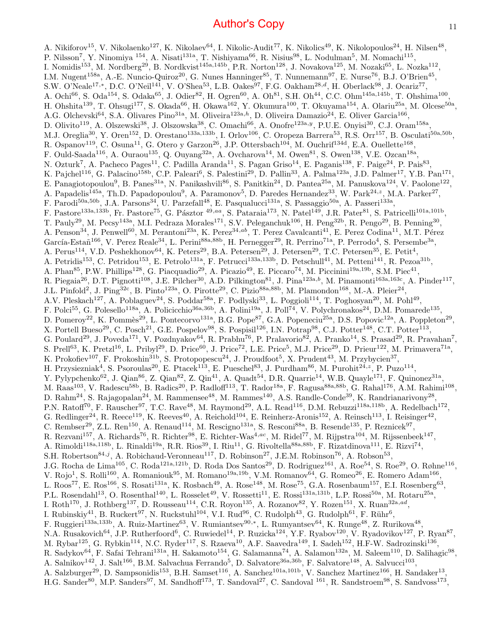A. Nikiforov<sup>15</sup>, V. Nikolaenko<sup>127</sup>, K. Nikolaev<sup>64</sup>, I. Nikolic-Audit<sup>77</sup>, K. Nikolics<sup>49</sup>, K. Nikolopoulos<sup>24</sup>, H. Nilsen<sup>48</sup>, P. Nilsson<sup>7</sup>, Y. Ninomiya <sup>154</sup>, A. Nisati<sup>131a</sup>, T. Nishiyama<sup>66</sup>, R. Nisius<sup>98</sup>, L. Nodulman<sup>5</sup>, M. Nomachi<sup>115</sup>, I. Nomidis<sup>153</sup>, M. Nordberg<sup>29</sup>, B. Nordkvist<sup>145a,145b</sup>, P.R. Norton<sup>128</sup>, J. Novakova<sup>125</sup>, M. Nozaki<sup>65</sup>, L. Nozka<sup>112</sup>, I.M. Nugent<sup>158a</sup>, A.-E. Nuncio-Quiroz<sup>20</sup>, G. Nunes Hanninger<sup>85</sup>, T. Nunnemann<sup>97</sup>, E. Nurse<sup>76</sup>, B.J. O'Brien<sup>45</sup>, S.W. O'Neale<sup>17,\*</sup>, D.C. O'Neil<sup>141</sup>, V. O'Shea<sup>53</sup>, L.B. Oakes<sup>97</sup>, F.G. Oakham<sup>28,d</sup>, H. Oberlack<sup>98</sup>, J. Ocariz<sup>77</sup>, A. Ochi<sup>66</sup>, S. Oda<sup>154</sup>, S. Odaka<sup>65</sup>, J. Odier<sup>82</sup>, H. Ogren<sup>60</sup>, A. Oh<sup>81</sup>, S.H. Oh<sup>44</sup>, C.C. Ohm<sup>145a,145b</sup>, T. Ohshima<sup>100</sup>, H. Ohshita<sup>139</sup>, T. Ohsugi<sup>177</sup>, S. Okada<sup>66</sup>, H. Okawa<sup>162</sup>, Y. Okumura<sup>100</sup>, T. Okuyama<sup>154</sup>, A. Olariu<sup>25a</sup>, M. Olcese<sup>50a</sup>, A.G. Olchevski<sup>64</sup>, S.A. Olivares Pino<sup>31a</sup>, M. Oliveira<sup>123a,h</sup>, D. Oliveira Damazio<sup>24</sup>, E. Oliver Garcia<sup>166</sup>, D. Olivito<sup>119</sup>, A. Olszewski<sup>38</sup>, J. Olszowska<sup>38</sup>, C. Omachi<sup>66</sup>, A. Onofre<sup>123a, y</sup>, P.U.E. Onyisi<sup>30</sup>, C.J. Oram<sup>158a</sup>, M.J. Oreglia<sup>30</sup>, Y. Oren<sup>152</sup>, D. Orestano<sup>133a,133b</sup>, I. Orlov<sup>106</sup>, C. Oropeza Barrera<sup>53</sup>, R.S. Orr<sup>157</sup>, B. Osculati<sup>50a,50b</sup>, R. Ospanov<sup>119</sup>, C. Osuna<sup>11</sup>, G. Otero y Garzon<sup>26</sup>, J.P. Ottersbach<sup>104</sup>, M. Ouchrif<sup>134d</sup>, E.A. Ouellette<sup>168</sup>, F. Ould-Saada<sup>116</sup>, A. Ouraou<sup>135</sup>, Q. Ouyang<sup>32a</sup>, A. Ovcharova<sup>14</sup>, M. Owen<sup>81</sup>, S. Owen<sup>138</sup>, V.E. Ozcan<sup>18a</sup>, N. Ozturk<sup>7</sup>, A. Pacheco Pages<sup>11</sup>, C. Padilla Aranda<sup>11</sup>, S. Pagan Griso<sup>14</sup>, E. Paganis<sup>138</sup>, F. Paige<sup>24</sup>, P. Pais<sup>83</sup>, K. Pajchel<sup>116</sup>, G. Palacino<sup>158b</sup>, C.P. Paleari<sup>6</sup>, S. Palestini<sup>29</sup>, D. Pallin<sup>33</sup>, A. Palma<sup>123a</sup>, J.D. Palmer<sup>17</sup>, Y.B. Pan<sup>171</sup>, E. Panagiotopoulou<sup>9</sup>, B. Panes<sup>31a</sup>, N. Panikashvili<sup>86</sup>, S. Panitkin<sup>24</sup>, D. Pantea<sup>25a</sup>, M. Panuskova<sup>124</sup>, V. Paolone<sup>122</sup>, A. Papadelis<sup>145a</sup>, Th.D. Papadopoulou<sup>9</sup>, A. Paramonov<sup>5</sup>, D. Paredes Hernandez<sup>33</sup>, W. Park<sup>24,z</sup>, M.A. Parker<sup>27</sup>, F. Parodi<sup>50a,50b</sup>, J.A. Parsons<sup>34</sup>, U. Parzefall<sup>48</sup>, E. Pasqualucci<sup>131a</sup>, S. Passaggio<sup>50a</sup>, A. Passeri<sup>133a</sup>, F. Pastore<sup>133a,133b</sup>, Fr. Pastore<sup>75</sup>, G. Pásztor <sup>49,aa</sup>, S. Pataraia<sup>173</sup>, N. Patel<sup>149</sup>, J.R. Pater<sup>81</sup>, S. Patricelli<sup>101a,101b</sup>, T. Pauly<sup>29</sup>, M. Pecsy<sup>143a</sup>, M.I. Pedraza Morales<sup>171</sup>, S.V. Peleganchuk<sup>106</sup>, H. Peng<sup>32b</sup>, R. Pengo<sup>29</sup>, B. Penning<sup>30</sup>, A. Penson<sup>34</sup>, J. Penwell<sup>60</sup>, M. Perantoni<sup>23a</sup>, K. Perez<sup>34,ab</sup>, T. Perez Cavalcanti<sup>41</sup>, E. Perez Codina<sup>11</sup>, M.T. Pérez García-Estañ<sup>166</sup>, V. Perez Reale<sup>34</sup>, L. Perini<sup>88a,88b</sup>, H. Pernegger<sup>29</sup>, R. Perrino<sup>71a</sup>, P. Perrodo<sup>4</sup>, S. Persembe<sup>3a</sup>, A. Perus<sup>114</sup>, V.D. Peshekhonov<sup>64</sup>, K. Peters<sup>29</sup>, B.A. Petersen<sup>29</sup>, J. Petersen<sup>29</sup>, T.C. Petersen<sup>35</sup>, E. Petit<sup>4</sup>, A. Petridis<sup>153</sup>, C. Petridou<sup>153</sup>, E. Petrolo<sup>131a</sup>, F. Petrucci<sup>133a,133b</sup>, D. Petschull<sup>41</sup>, M. Petteni<sup>141</sup>, R. Pezoa<sup>31b</sup>, A. Phan<sup>85</sup>, P.W. Phillips<sup>128</sup>, G. Piacquadio<sup>29</sup>, A. Picazio<sup>49</sup>, E. Piccaro<sup>74</sup>, M. Piccinini<sup>19a,19b</sup>, S.M. Piec<sup>41</sup>, R. Piegaia<sup>26</sup>, D.T. Pignotti<sup>108</sup>, J.E. Pilcher<sup>30</sup>, A.D. Pilkington<sup>81</sup>, J. Pina<sup>123a,b</sup>, M. Pinamonti<sup>163a,163c</sup>, A. Pinder<sup>117</sup>, J.L. Pinfold<sup>2</sup>, J. Ping<sup>32c</sup>, B. Pinto<sup>123a</sup>, O. Pirotte<sup>29</sup>, C. Pizio<sup>88a,88b</sup>, M. Plamondon<sup>168</sup>, M.-A. Pleier<sup>24</sup>, A.V. Pleskach<sup>127</sup>, A. Poblaguev<sup>24</sup>, S. Poddar<sup>58a</sup>, F. Podlyski<sup>33</sup>, L. Poggioli<sup>114</sup>, T. Poghosyan<sup>20</sup>, M. Pohl<sup>49</sup>, F. Polci<sup>55</sup>, G. Polesello<sup>118a</sup>, A. Policicchio<sup>36a,36b</sup>, A. Polini<sup>19a</sup>, J. Poll<sup>74</sup>, V. Polychronakos<sup>24</sup>, D.M. Pomarede<sup>135</sup>, D. Pomeroy<sup>22</sup>, K. Pommès<sup>29</sup>, L. Pontecorvo<sup>131a</sup>, B.G. Pope<sup>87</sup>, G.A. Popeneciu<sup>25a</sup>, D.S. Popovic<sup>12a</sup>, A. Poppleton<sup>29</sup>, X. Portell Bueso<sup>29</sup>, C. Posch<sup>21</sup>, G.E. Pospelov<sup>98</sup>, S. Pospisil<sup>126</sup>, I.N. Potrap<sup>98</sup>, C.J. Potter<sup>148</sup>, C.T. Potter<sup>113</sup>, G. Poulard<sup>29</sup>, J. Poveda<sup>171</sup>, V. Pozdnyakov<sup>64</sup>, R. Prabhu<sup>76</sup>, P. Pralavorio<sup>82</sup>, A. Pranko<sup>14</sup>, S. Prasad<sup>29</sup>, R. Pravahan<sup>7</sup>, S. Prell<sup>63</sup>, K. Pretzl<sup>16</sup>, L. Pribyl<sup>29</sup>, D. Price<sup>60</sup>, J. Price<sup>72</sup>, L.E. Price<sup>5</sup>, M.J. Price<sup>29</sup>, D. Prieur<sup>122</sup>, M. Primavera<sup>71a</sup>, K. Prokofiev<sup>107</sup>, F. Prokoshin<sup>31b</sup>, S. Protopopescu<sup>24</sup>, J. Proudfoot<sup>5</sup>, X. Prudent<sup>43</sup>, M. Przybycien<sup>37</sup>, H. Przysiezniak<sup>4</sup>, S. Psoroulas<sup>20</sup>, E. Ptacek<sup>113</sup>, E. Pueschel<sup>83</sup>, J. Purdham<sup>86</sup>, M. Purohit<sup>24,2</sup>, P. Puzo<sup>114</sup>, Y. Pylypchenko<sup>62</sup>, J. Qian<sup>86</sup>, Z. Qian<sup>82</sup>, Z. Qin<sup>41</sup>, A. Quadt<sup>54</sup>, D.R. Quarrie<sup>14</sup>, W.B. Quayle<sup>171</sup>, F. Quinonez<sup>31a</sup>, M. Raas<sup>103</sup>, V. Radescu<sup>58b</sup>, B. Radics<sup>20</sup>, P. Radloff<sup>113</sup>, T. Rador<sup>18a</sup>, F. Ragusa<sup>88a,88b</sup>, G. Rahal<sup>176</sup>, A.M. Rahimi<sup>108</sup>, D. Rahm<sup>24</sup>, S. Rajagopalan<sup>24</sup>, M. Rammensee<sup>48</sup>, M. Rammes<sup>140</sup>, A.S. Randle-Conde<sup>39</sup>, K. Randrianarivony<sup>28</sup>, P.N. Ratoff<sup>70</sup>, F. Rauscher<sup>97</sup>, T.C. Rave<sup>48</sup>, M. Raymond<sup>29</sup>, A.L. Read<sup>116</sup>, D.M. Rebuzzi<sup>118a,118b</sup>, A. Redelbach<sup>172</sup>, G. Redlinger<sup>24</sup>, R. Reece<sup>119</sup>, K. Reeves<sup>40</sup>, A. Reichold<sup>104</sup>, E. Reinherz-Aronis<sup>152</sup>, A. Reinsch<sup>113</sup>, I. Reisinger<sup>42</sup>, C. Rembser<sup>29</sup>, Z.L. Ren<sup>150</sup>, A. Renaud<sup>114</sup>, M. Rescigno<sup>131a</sup>, S. Resconi<sup>88a</sup>, B. Resende<sup>135</sup>, P. Reznicek<sup>97</sup>, R. Rezvani<sup>157</sup>, A. Richards<sup>76</sup>, R. Richter<sup>98</sup>, E. Richter-Was<sup>4,ac</sup>, M. Ridel<sup>77</sup>, M. Rijpstra<sup>104</sup>, M. Rijssenbeek<sup>147</sup>, A. Rimoldi<sup>118a,118b</sup>, L. Rinaldi<sup>19a</sup>, R.R. Rios<sup>39</sup>, I. Riu<sup>11</sup>, G. Rivoltella<sup>88a,88b</sup>, F. Rizatdinova<sup>111</sup>, E. Rizvi<sup>74</sup>, S.H. Robertson<sup>84,j</sup>, A. Robichaud-Veronneau<sup>117</sup>, D. Robinson<sup>27</sup>, J.E.M. Robinson<sup>76</sup>, A. Robson<sup>53</sup>, J.G. Rocha de Lima<sup>105</sup>, C. Roda<sup>121a,121b</sup>, D. Roda Dos Santos<sup>29</sup>, D. Rodriguez<sup>161</sup>, A. Roe<sup>54</sup>, S. Roe<sup>29</sup>, O. Røhne<sup>116</sup>, V. Rojo<sup>1</sup>, S. Rolli<sup>160</sup>, A. Romaniouk<sup>95</sup>, M. Romano<sup>19a,19b</sup>, V.M. Romanov<sup>64</sup>, G. Romeo<sup>26</sup>, E. Romero Adam<sup>166</sup>, L. Roos<sup>77</sup>, E. Ros<sup>166</sup>, S. Rosati<sup>131a</sup>, K. Rosbach<sup>49</sup>, A. Rose<sup>148</sup>, M. Rose<sup>75</sup>, G.A. Rosenbaum<sup>157</sup>, E.I. Rosenberg<sup>63</sup>, P.L. Rosendahl<sup>13</sup>, O. Rosenthal<sup>140</sup>, L. Rosselet<sup>49</sup>, V. Rossetti<sup>11</sup>, E. Rossi<sup>131a,131b</sup>, L.P. Rossi<sup>50a</sup>, M. Rotaru<sup>25a</sup>, I. Roth<sup>170</sup>, J. Rothberg<sup>137</sup>, D. Rousseau<sup>114</sup>, C.R. Royon<sup>135</sup>, A. Rozanov<sup>82</sup>, Y. Rozen<sup>151</sup>, X. Ruan<sup>32a,ad</sup>, I. Rubinskiy<sup>41</sup>, B. Ruckert<sup>97</sup>, N. Ruckstuhl<sup>104</sup>, V.I. Rud<sup>96</sup>, C. Rudolph<sup>43</sup>, G. Rudolph<sup>61</sup>, F. Rühr<sup>6</sup>, F. Ruggieri<sup>133a,133b</sup>, A. Ruiz-Martinez<sup>63</sup>, V. Rumiantsev<sup>90,∗</sup>, L. Rumyantsev<sup>64</sup>, K. Runge<sup>48</sup>, Z. Rurikova<sup>48</sup>, N.A. Rusakovich<sup>64</sup>, J.P. Rutherfoord<sup>6</sup>, C. Ruwiedel<sup>14</sup>, P. Ruzicka<sup>124</sup>, Y.F. Ryabov<sup>120</sup>, V. Ryadovikov<sup>127</sup>, P. Ryan<sup>87</sup>, M. Rybar<sup>125</sup>, G. Rybkin<sup>114</sup>, N.C. Ryder<sup>117</sup>, S. Rzaeva<sup>10</sup>, A.F. Saavedra<sup>149</sup>, I. Sadeh<sup>152</sup>, H.F-W. Sadrozinski<sup>136</sup>, R. Sadykov<sup>64</sup>, F. Safai Tehrani<sup>131a</sup>, H. Sakamoto<sup>154</sup>, G. Salamanna<sup>74</sup>, A. Salamon<sup>132a</sup>, M. Saleem<sup>110</sup>, D. Salihagic<sup>98</sup>, A. Salnikov<sup>142</sup>, J. Salt<sup>166</sup>, B.M. Salvachua Ferrando<sup>5</sup>, D. Salvatore<sup>36a,36b</sup>, F. Salvatore<sup>148</sup>, A. Salvucci<sup>103</sup>, A. Salzburger<sup>29</sup>, D. Sampsonidis<sup>153</sup>, B.H. Samset<sup>116</sup>, A. Sanchez<sup>101a,101b</sup>, V. Sanchez Martinez<sup>166</sup>, H. Sandaker<sup>13</sup>, H.G. Sander<sup>80</sup>, M.P. Sanders<sup>97</sup>, M. Sandhoff<sup>173</sup>, T. Sandoval<sup>27</sup>, C. Sandoval <sup>161</sup>, R. Sandstroem<sup>98</sup>, S. Sandvoss<sup>173</sup>,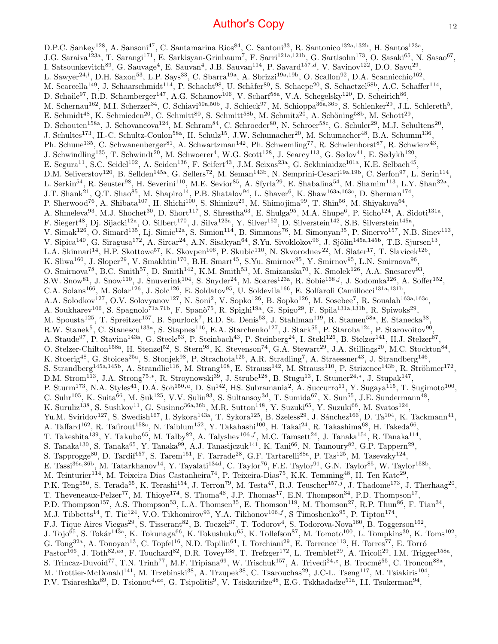D.P.C. Sankey<sup>128</sup>, A. Sansoni<sup>47</sup>, C. Santamarina Rios<sup>84</sup>, C. Santoni<sup>33</sup>, R. Santonico<sup>132a,132b</sup>, H. Santos<sup>123a</sup>, J.G. Saraiva<sup>123a</sup>, T. Sarangi<sup>171</sup>, E. Sarkisyan-Grinbaum<sup>7</sup>, F. Sarri<sup>121a,121b</sup>, G. Sartisohn<sup>173</sup>, O. Sasaki<sup>65</sup>, N. Sasao<sup>67</sup>, I. Satsounkevitch<sup>89</sup>, G. Sauvage<sup>4</sup>, E. Sauvan<sup>4</sup>, J.B. Sauvan<sup>114</sup>, P. Savard<sup>157,d</sup>, V. Savinov<sup>122</sup>, D.O. Savu<sup>29</sup>, L. Sawyer<sup>24,*l*</sup>, D.H. Saxon<sup>53</sup>, L.P. Says<sup>33</sup>, C. Sbarra<sup>19a</sup>, A. Sbrizzi<sup>19a,19b</sup>, O. Scallon<sup>92</sup>, D.A. Scannicchio<sup>162</sup>, M. Scarcella<sup>149</sup>, J. Schaarschmidt<sup>114</sup>, P. Schacht<sup>98</sup>, U. Schäfer<sup>80</sup>, S. Schaepe<sup>20</sup>, S. Schaetzel<sup>58b</sup>, A.C. Schaffer<sup>114</sup>, D. Schaile<sup>97</sup>, R.D. Schamberger<sup>147</sup>, A.G. Schamov<sup>106</sup>, V. Scharf<sup>58a</sup>, V.A. Schegelsky<sup>120</sup>, D. Scheirich<sup>86</sup>, M. Schernau<sup>162</sup>, M.I. Scherzer<sup>34</sup>, C. Schiavi<sup>50a,50b</sup>, J. Schieck<sup>97</sup>, M. Schioppa<sup>36a,36b</sup>, S. Schlenker<sup>29</sup>, J.L. Schlereth<sup>5</sup>, E. Schmidt<sup>48</sup>, K. Schmieden<sup>20</sup>, C. Schmitt<sup>80</sup>, S. Schmitt<sup>58b</sup>, M. Schmitz<sup>20</sup>, A. Schöning<sup>58b</sup>, M. Schott<sup>29</sup>, D. Schouten<sup>158a</sup>, J. Schovancova<sup>124</sup>, M. Schram<sup>84</sup>, C. Schroeder<sup>80</sup>, N. Schroer<sup>58c</sup>, G. Schuler<sup>29</sup>, M.J. Schultens<sup>20</sup>, J. Schultes<sup>173</sup>, H.-C. Schultz-Coulon<sup>58a</sup>, H. Schulz<sup>15</sup>, J.W. Schumacher<sup>20</sup>, M. Schumacher<sup>48</sup>, B.A. Schumm<sup>136</sup>, Ph. Schune<sup>135</sup>, C. Schwanenberger<sup>81</sup>, A. Schwartzman<sup>142</sup>, Ph. Schwemling<sup>77</sup>, R. Schwienhorst<sup>87</sup>, R. Schwierz<sup>43</sup>, J. Schwindling<sup>135</sup>, T. Schwindt<sup>20</sup>, M. Schwoerer<sup>4</sup>, W.G. Scott<sup>128</sup>, J. Searcy<sup>113</sup>, G. Sedov<sup>41</sup>, E. Sedykh<sup>120</sup>, E. Segura<sup>11</sup>, S.C. Seidel<sup>102</sup>, A. Seiden<sup>136</sup>, F. Seifert<sup>43</sup>, J.M. Seixas<sup>23a</sup>, G. Sekhniaidze<sup>101a</sup>, K.E. Selbach<sup>45</sup>, D.M. Seliverstov<sup>120</sup>, B. Sellden<sup>145a</sup>, G. Sellers<sup>72</sup>, M. Seman<sup>143b</sup>, N. Semprini-Cesari<sup>19a,19b</sup>, C. Serfon<sup>97</sup>, L. Serin<sup>114</sup>, L. Serkin<sup>54</sup>, R. Seuster<sup>98</sup>, H. Severini<sup>110</sup>, M.E. Sevior<sup>85</sup>, A. Sfyrla<sup>29</sup>, E. Shabalina<sup>54</sup>, M. Shamim<sup>113</sup>, L.Y. Shan<sup>32a</sup>, J.T. Shank<sup>21</sup>, Q.T. Shao<sup>85</sup>, M. Shapiro<sup>14</sup>, P.B. Shatalov<sup>94</sup>, L. Shaver<sup>6</sup>, K. Shaw<sup>163a,163c</sup>, D. Sherman<sup>174</sup>, P. Sherwood<sup>76</sup>, A. Shibata<sup>107</sup>, H. Shichi<sup>100</sup>, S. Shimizu<sup>29</sup>, M. Shimojima<sup>99</sup>, T. Shin<sup>56</sup>, M. Shiyakova<sup>64</sup>, A. Shmeleva<sup>93</sup>, M.J. Shochet<sup>30</sup>, D. Short<sup>117</sup>, S. Shrestha<sup>63</sup>, E. Shulga<sup>95</sup>, M.A. Shupe<sup>6</sup>, P. Sicho<sup>124</sup>, A. Sidoti<sup>131a</sup>, F. Siegert<sup>48</sup>, Dj. Sijacki<sup>12a</sup>, O. Silbert<sup>170</sup>, J. Silva<sup>123a</sup>, Y. Silver<sup>152</sup>, D. Silverstein<sup>142</sup>, S.B. Silverstein<sup>145a</sup>, V. Simak<sup>126</sup>, O. Simard<sup>135</sup>, Lj. Simic<sup>12a</sup>, S. Simion<sup>114</sup>, B. Simmons<sup>76</sup>, M. Simonyan<sup>35</sup>, P. Sinervo<sup>157</sup>, N.B. Sinev<sup>113</sup>, V. Sipica<sup>140</sup>, G. Siragusa<sup>172</sup>, A. Sircar<sup>24</sup>, A.N. Sisakyan<sup>64</sup>, S.Yu. Sivoklokov<sup>96</sup>, J. Sjölin<sup>145a,145b</sup>, T.B. Sjursen<sup>13</sup>, L.A. Skinnari<sup>14</sup>, H.P. Skottowe<sup>57</sup>, K. Skovpen<sup>106</sup>, P. Skubic<sup>110</sup>, N. Skvorodnev<sup>22</sup>, M. Slater<sup>17</sup>, T. Slavicek<sup>126</sup>, K. Sliwa<sup>160</sup>, J. Sloper<sup>29</sup>, V. Smakhtin<sup>170</sup>, B.H. Smart<sup>45</sup>, S.Yu. Smirnov<sup>95</sup>, Y. Smirnov<sup>95</sup>, L.N. Smirnova<sup>96</sup>, O. Smirnova<sup>78</sup>, B.C. Smith<sup>57</sup>, D. Smith<sup>142</sup>, K.M. Smith<sup>53</sup>, M. Smizanska<sup>70</sup>, K. Smolek<sup>126</sup>, A.A. Snesarev<sup>93</sup>, S.W. Snow<sup>81</sup>, J. Snow<sup>110</sup>, J. Snuverink<sup>104</sup>, S. Snyder<sup>24</sup>, M. Soares<sup>123a</sup>, R. Sobie<sup>168,j</sup>, J. Sodomka<sup>126</sup>, A. Soffer<sup>152</sup>, C.A. Solans<sup>166</sup>, M. Solar<sup>126</sup>, J. Solc<sup>126</sup>, E. Soldatov<sup>95</sup>, U. Soldevila<sup>166</sup>, E. Solfaroli Camillocci<sup>131a,131b</sup>, A.A. Solodkov<sup>127</sup>, O.V. Solovyanov<sup>127</sup>, N. Soni<sup>2</sup>, V. Sopko<sup>126</sup>, B. Sopko<sup>126</sup>, M. Sosebee<sup>7</sup>, R. Soualah<sup>163a,163c</sup>, A. Soukharev<sup>106</sup>, S. Spagnolo<sup>71a,71b</sup>, F. Spanò<sup>75</sup>, R. Spighi<sup>19a</sup>, G. Spigo<sup>29</sup>, F. Spila<sup>131a,131b</sup>, R. Spiwoks<sup>29</sup>, M. Spousta<sup>125</sup>, T. Spreitzer<sup>157</sup>, B. Spurlock<sup>7</sup>, R.D. St. Denis<sup>53</sup>, J. Stahlman<sup>119</sup>, R. Stamen<sup>58a</sup>, E. Stanecka<sup>38</sup>, R.W. Stanek<sup>5</sup>, C. Stanescu<sup>133a</sup>, S. Stapnes<sup>116</sup>, E.A. Starchenko<sup>127</sup>, J. Stark<sup>55</sup>, P. Staroba<sup>124</sup>, P. Starovoitov<sup>90</sup>, A. Staude<sup>97</sup>, P. Stavina<sup>143a</sup>, G. Steele<sup>53</sup>, P. Steinbach<sup>43</sup>, P. Steinberg<sup>24</sup>, I. Stekl<sup>126</sup>, B. Stelzer<sup>141</sup>, H.J. Stelzer<sup>87</sup>, O. Stelzer-Chilton<sup>158a</sup>, H. Stenzel<sup>52</sup>, S. Stern<sup>98</sup>, K. Stevenson<sup>74</sup>, G.A. Stewart<sup>29</sup>, J.A. Stillings<sup>20</sup>, M.C. Stockton<sup>84</sup>, K. Stoerig<sup>48</sup>, G. Stoicea<sup>25a</sup>, S. Stonjek<sup>98</sup>, P. Strachota<sup>125</sup>, A.R. Stradling<sup>7</sup>, A. Straessner<sup>43</sup>, J. Strandberg<sup>146</sup>, S. Strandberg<sup>145a,145b</sup>, A. Strandlie<sup>116</sup>, M. Strang<sup>108</sup>, E. Strauss<sup>142</sup>, M. Strauss<sup>110</sup>, P. Strizenec<sup>143b</sup>, R. Ströhmer<sup>172</sup>, D.M. Strom<sup>113</sup>, J.A. Strong<sup>75,\*</sup>, R. Stroynowski<sup>39</sup>, J. Strube<sup>128</sup>, B. Stugu<sup>13</sup>, I. Stumer<sup>24,\*</sup>, J. Stupak<sup>147</sup>, P. Sturm<sup>173</sup>, N.A. Styles<sup>41</sup>, D.A. Soh<sup>150,u</sup>, D. Su<sup>142</sup>, HS. Subramania<sup>2</sup>, A. Succurro<sup>11</sup>, Y. Sugaya<sup>115</sup>, T. Sugimoto<sup>100</sup>, C. Suhr<sup>105</sup>, K. Suita<sup>66</sup>, M. Suk<sup>125</sup>, V.V. Sulin<sup>93</sup>, S. Sultansoy<sup>3d</sup>, T. Sumida<sup>67</sup>, X. Sun<sup>55</sup>, J.E. Sundermann<sup>48</sup>, K. Suruliz<sup>138</sup>, S. Sushkov<sup>11</sup>, G. Susinno<sup>36a,36b</sup>, M.R. Sutton<sup>148</sup>, Y. Suzuki<sup>65</sup>, Y. Suzuki<sup>66</sup>, M. Svatos<sup>124</sup>, Yu.M. Sviridov<sup>127</sup>, S. Swedish<sup>167</sup>, I. Sykora<sup>143a</sup>, T. Sykora<sup>125</sup>, B. Szeless<sup>29</sup>, J. Sánchez<sup>166</sup>, D. Ta<sup>104</sup>, K. Tackmann<sup>41</sup>, A. Taffard<sup>162</sup>, R. Tafirout<sup>158a</sup>, N. Taiblum<sup>152</sup>, Y. Takahashi<sup>100</sup>, H. Takai<sup>24</sup>, R. Takashima<sup>68</sup>, H. Takeda<sup>66</sup>, T. Takeshita<sup>139</sup>, Y. Takubo<sup>65</sup>, M. Talby<sup>82</sup>, A. Talyshev<sup>106,f</sup>, M.C. Tamsett<sup>24</sup>, J. Tanaka<sup>154</sup>, R. Tanaka<sup>114</sup>, S. Tanaka<sup>130</sup>, S. Tanaka<sup>65</sup>, Y. Tanaka<sup>99</sup>, A.J. Tanasijczuk<sup>141</sup>, K. Tani<sup>66</sup>, N. Tannoury<sup>82</sup>, G.P. Tappern<sup>29</sup>, S. Tapprogge<sup>80</sup>, D. Tardif<sup>157</sup>, S. Tarem<sup>151</sup>, F. Tarrade<sup>28</sup>, G.F. Tartarelli<sup>88a</sup>, P. Tas<sup>125</sup>, M. Tasevsky<sup>124</sup>, E. Tassi<sup>36a,36b</sup>, M. Tatarkhanov<sup>14</sup>, Y. Tayalati<sup>134d</sup>, C. Taylor<sup>76</sup>, F.E. Taylor<sup>91</sup>, G.N. Taylor<sup>85</sup>, W. Taylor<sup>158b</sup>, M. Teinturier<sup>114</sup>, M. Teixeira Dias Castanheira<sup>74</sup>, P. Teixeira-Dias<sup>75</sup>, K.K. Temming<sup>48</sup>, H. Ten Kate<sup>29</sup>, P.K. Teng<sup>150</sup>, S. Terada<sup>65</sup>, K. Terashi<sup>154</sup>, J. Terron<sup>79</sup>, M. Testa<sup>47</sup>, R.J. Teuscher<sup>157,j</sup>, J. Thadome<sup>173</sup>, J. Therhaag<sup>20</sup>, T. Theveneaux-Pelzer<sup>77</sup>, M. Thioye<sup>174</sup>, S. Thoma<sup>48</sup>, J.P. Thomas<sup>17</sup>, E.N. Thompson<sup>34</sup>, P.D. Thompson<sup>17</sup>, P.D. Thompson<sup>157</sup>, A.S. Thompson<sup>53</sup>, L.A. Thomsen<sup>35</sup>, E. Thomson<sup>119</sup>, M. Thomson<sup>27</sup>, R.P. Thun<sup>86</sup>, F. Tian<sup>34</sup>, M.J. Tibbetts<sup>14</sup>, T. Tic<sup>124</sup>, V.O. Tikhomirov<sup>93</sup>, Y.A. Tikhonov<sup>106,f</sup>, S Timoshenko<sup>95</sup>, P. Tipton<sup>174</sup>, F.J. Tique Aires Viegas<sup>29</sup>, S. Tisserant<sup>82</sup>, B. Toczek<sup>37</sup>, T. Todorov<sup>4</sup>, S. Todorova-Nova<sup>160</sup>, B. Toggerson<sup>162</sup>, J. Tojo<sup>65</sup>, S. Tokár<sup>143a</sup>, K. Tokunaga<sup>66</sup>, K. Tokushuku<sup>65</sup>, K. Tollefson<sup>87</sup>, M. Tomoto<sup>100</sup>, L. Tompkins<sup>30</sup>, K. Toms<sup>102</sup>, G. Tong<sup>32a</sup>, A. Tonoyan<sup>13</sup>, C. Topfel<sup>16</sup>, N.D. Topilin<sup>64</sup>, I. Torchiani<sup>29</sup>, E. Torrence<sup>113</sup>, H. Torres<sup>77</sup>, E. Torró  $\text{Pastor}^{166}$ , J. Toth $^{82,aa}$ , F. Touchard $^{82}$ , D.R. Tovey<sup>138</sup>, T. Trefzger<sup>172</sup>, L. Tremblet<sup>29</sup>, A. Tricoli<sup>29</sup>, I.M. Trigger<sup>158a</sup>, S. Trincaz-Duvoid<sup>77</sup>, T.N. Trinh<sup>77</sup>, M.F. Tripiana<sup>69</sup>, W. Trischuk<sup>157</sup>, A. Trivedi<sup>24, z</sup>, B. Trocmé<sup>55</sup>, C. Troncon<sup>88a</sup>, M. Trottier-McDonald<sup>141</sup>, M. Trzebinski<sup>38</sup>, A. Trzupek<sup>38</sup>, C. Tsarouchas<sup>29</sup>, J.C-L. Tseng<sup>117</sup>, M. Tsiakiris<sup>104</sup>, P.V. Tsiareshka<sup>89</sup>, D. Tsionou<sup>4,ae</sup>, G. Tsipolitis<sup>9</sup>, V. Tsiskaridze<sup>48</sup>, E.G. Tskhadadze<sup>51a</sup>, I.I. Tsukerman<sup>94</sup>,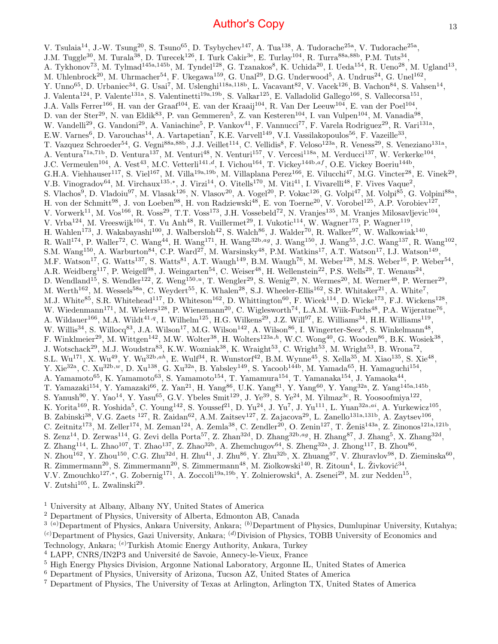V. Tsulaia<sup>14</sup>, J.-W. Tsung<sup>20</sup>, S. Tsuno<sup>65</sup>, D. Tsybychev<sup>147</sup>, A. Tua<sup>138</sup>, A. Tudorache<sup>25a</sup>, V. Tudorache<sup>25a</sup>, J.M. Tuggle<sup>30</sup>, M. Turala<sup>38</sup>, D. Turecek<sup>126</sup>, I. Turk Cakir<sup>3e</sup>, E. Turlay<sup>104</sup>, R. Turra<sup>88a,88b</sup>, P.M. Tuts<sup>34</sup>, A. Tykhonov<sup>73</sup>, M. Tylmad<sup>145a,145b</sup>, M. Tyndel<sup>128</sup>, G. Tzanakos<sup>8</sup>, K. Uchida<sup>20</sup>, I. Ueda<sup>154</sup>, R. Ueno<sup>28</sup>, M. Ugland<sup>13</sup>, M. Uhlenbrock<sup>20</sup>, M. Uhrmacher<sup>54</sup>, F. Ukegawa<sup>159</sup>, G. Unal<sup>29</sup>, D.G. Underwood<sup>5</sup>, A. Undrus<sup>24</sup>, G. Unel<sup>162</sup>, Y. Unno<sup>65</sup>, D. Urbaniec<sup>34</sup>, G. Usai<sup>7</sup>, M. Uslenghi<sup>118a,118b</sup>, L. Vacavant<sup>82</sup>, V. Vacek<sup>126</sup>, B. Vachon<sup>84</sup>, S. Vahsen<sup>14</sup>, J. Valenta<sup>124</sup>, P. Valente<sup>131a</sup>, S. Valentinetti<sup>19a,19b</sup>, S. Valkar<sup>125</sup>, E. Valladolid Gallego<sup>166</sup>, S. Vallecorsa<sup>151</sup>, J.A. Valls Ferrer<sup>166</sup>, H. van der Graaf<sup>104</sup>, E. van der Kraaij<sup>104</sup>, R. Van Der Leeuw<sup>104</sup>, E. van der Poel<sup>104</sup>, D. van der Ster<sup>29</sup>, N. van Eldik<sup>83</sup>, P. van Gemmeren<sup>5</sup>, Z. van Kesteren<sup>104</sup>, I. van Vulpen<sup>104</sup>, M. Vanadia<sup>98</sup>, W. Vandelli<sup>29</sup>, G. Vandoni<sup>29</sup>, A. Vaniachine<sup>5</sup>, P. Vankov<sup>41</sup>, F. Vannucci<sup>77</sup>, F. Varela Rodriguez<sup>29</sup>, R. Vari<sup>131a</sup>, E.W. Varnes<sup>6</sup>, D. Varouchas<sup>14</sup>, A. Vartapetian<sup>7</sup>, K.E. Varvell<sup>149</sup>, V.I. Vassilakopoulos<sup>56</sup>, F. Vazeille<sup>33</sup>, T. Vazquez Schroeder<sup>54</sup>, G. Vegni<sup>88a,88b</sup>, J.J. Veillet<sup>114</sup>, C. Vellidis<sup>8</sup>, F. Veloso<sup>123a</sup>, R. Veness<sup>29</sup>, S. Veneziano<sup>131a</sup>, A. Ventura<sup>71a,71b</sup>, D. Ventura<sup>137</sup>, M. Venturi<sup>48</sup>, N. Venturi<sup>157</sup>, V. Vercesi<sup>118a</sup>, M. Verducci<sup>137</sup>, W. Verkerke<sup>104</sup>, J.C. Vermeulen<sup>104</sup>, A. Vest<sup>43</sup>, M.C. Vetterli<sup>141,d</sup>, I. Vichou<sup>164</sup>, T. Vickey<sup>144b,af</sup>, O.E. Vickey Boeriu<sup>144b</sup>, G.H.A. Viehhauser<sup>117</sup>, S. Viel<sup>167</sup>, M. Villa<sup>19a,19b</sup>, M. Villaplana Perez<sup>166</sup>, E. Vilucchi<sup>47</sup>, M.G. Vincter<sup>28</sup>, E. Vinek<sup>29</sup>, V.B. Vinogradov<sup>64</sup>, M. Virchaux<sup>135,\*</sup>, J. Virzi<sup>14</sup>, O. Vitells<sup>170</sup>, M. Viti<sup>41</sup>, I. Vivarelli<sup>48</sup>, F. Vives Vaque<sup>2</sup>, S. Vlachos<sup>9</sup>, D. Vladoiu<sup>97</sup>, M. Vlasak<sup>126</sup>, N. Vlasov<sup>20</sup>, A. Vogel<sup>20</sup>, P. Vokac<sup>126</sup>, G. Volpi<sup>47</sup>, M. Volpi<sup>85</sup>, G. Volpini<sup>88a</sup>, H. von der Schmitt<sup>98</sup>, J. von Loeben<sup>98</sup>, H. von Radziewski<sup>48</sup>, E. von Toerne<sup>20</sup>, V. Vorobel<sup>125</sup>, A.P. Vorobiev<sup>127</sup>, V. Vorwerk<sup>11</sup>, M. Vos<sup>166</sup>, R. Voss<sup>29</sup>, T.T. Voss<sup>173</sup>, J.H. Vossebeld<sup>72</sup>, N. Vranjes<sup>135</sup>, M. Vranjes Milosavljevic<sup>104</sup>, V. Vrba<sup>124</sup>, M. Vreeswijk<sup>104</sup>, T. Vu Anh<sup>48</sup>, R. Vuillermet<sup>29</sup>, I. Vukotic<sup>114</sup>, W. Wagner<sup>173</sup>, P. Wagner<sup>119</sup>, H. Wahlen<sup>173</sup>, J. Wakabayashi<sup>100</sup>, J. Walbersloh<sup>42</sup>, S. Walch<sup>86</sup>, J. Walder<sup>70</sup>, R. Walker<sup>97</sup>, W. Walkowiak<sup>140</sup>, R. Wall<sup>174</sup>, P. Waller<sup>72</sup>, C. Wang<sup>44</sup>, H. Wang<sup>171</sup>, H. Wang<sup>32b,ag</sup>, J. Wang<sup>150</sup>, J. Wang<sup>55</sup>, J.C. Wang<sup>137</sup>, R. Wang<sup>102</sup>, S.M. Wang<sup>150</sup>, A. Warburton<sup>84</sup>, C.P. Ward<sup>27</sup>, M. Warsinsky<sup>48</sup>, P.M. Watkins<sup>17</sup>, A.T. Watson<sup>17</sup>, I.J. Watson<sup>149</sup>, M.F. Watson<sup>17</sup>, G. Watts<sup>137</sup>, S. Watts<sup>81</sup>, A.T. Waugh<sup>149</sup>, B.M. Waugh<sup>76</sup>, M. Weber<sup>128</sup>, M.S. Weber<sup>16</sup>, P. Weber<sup>54</sup>, A.R. Weidberg<sup>117</sup>, P. Weigell<sup>98</sup>, J. Weingarten<sup>54</sup>, C. Weiser<sup>48</sup>, H. Wellenstein<sup>22</sup>, P.S. Wells<sup>29</sup>, T. Wenaus<sup>24</sup>, D. Wendland<sup>15</sup>, S. Wendler<sup>122</sup>, Z. Weng<sup>150,*u*</sup>, T. Wengler<sup>29</sup>, S. Wenig<sup>29</sup>, N. Wermes<sup>20</sup>, M. Werner<sup>48</sup>, P. Werner<sup>29</sup>, M. Werth<sup>162</sup>, M. Wessels<sup>58a</sup>, C. Weydert<sup>55</sup>, K. Whalen<sup>28</sup>, S.J. Wheeler-Ellis<sup>162</sup>, S.P. Whitaker<sup>21</sup>, A. White<sup>7</sup>, M.J. White<sup>85</sup>, S.R. Whitehead<sup>117</sup>, D. Whiteson<sup>162</sup>, D. Whittington<sup>60</sup>, F. Wicek<sup>114</sup>, D. Wicke<sup>173</sup>, F.J. Wickens<sup>128</sup>, W. Wiedenmann<sup>171</sup>, M. Wielers<sup>128</sup>, P. Wienemann<sup>20</sup>, C. Wiglesworth<sup>74</sup>, L.A.M. Wiik-Fuchs<sup>48</sup>, P.A. Wijeratne<sup>76</sup>, A. Wildauer<sup>166</sup>, M.A. Wildt<sup>41,q</sup>, I. Wilhelm<sup>125</sup>, H.G. Wilkens<sup>29</sup>, J.Z. Will<sup>97</sup>, E. Williams<sup>34</sup>, H.H. Williams<sup>119</sup>, W. Willis<sup>34</sup>, S. Willocq<sup>83</sup>, J.A. Wilson<sup>17</sup>, M.G. Wilson<sup>142</sup>, A. Wilson<sup>86</sup>, I. Wingerter-Seez<sup>4</sup>, S. Winkelmann<sup>48</sup>, F. Winklmeier<sup>29</sup>, M. Wittgen<sup>142</sup>, M.W. Wolter<sup>38</sup>, H. Wolters<sup>123a,h</sup>, W.C. Wong<sup>40</sup>, G. Wooden<sup>86</sup>, B.K. Wosiek<sup>38</sup>, J. Wotschack<sup>29</sup>, M.J. Woudstra<sup>83</sup>, K.W. Wozniak<sup>38</sup>, K. Wraight<sup>53</sup>, C. Wright<sup>53</sup>, M. Wright<sup>53</sup>, B. Wrona<sup>72</sup>,  $S.L. Wu^{171}, X. Wu^{49}, Y. Wu^{32b,ah}, E. Wulf^{34}, R. Wunstorf^{42}, B.M. Wynne^{45}, S. Xella^{35}, M. Xiao^{135}, S. Xie^{48},$ Y. Xie<sup>32a</sup>, C. Xu<sup>32b,w</sup>, D. Xu<sup>138</sup>, G. Xu<sup>32a</sup>, B. Yabsley<sup>149</sup>, S. Yacoob<sup>144b</sup>, M. Yamada<sup>65</sup>, H. Yamaguchi<sup>154</sup>, A. Yamamoto<sup>65</sup>, K. Yamamoto<sup>63</sup>, S. Yamamoto<sup>154</sup>, T. Yamamura<sup>154</sup>, T. Yamanaka<sup>154</sup>, J. Yamaoka<sup>44</sup>, T. Yamazaki<sup>154</sup>, Y. Yamazaki<sup>66</sup>, Z. Yan<sup>21</sup>, H. Yang<sup>86</sup>, U.K. Yang<sup>81</sup>, Y. Yang<sup>60</sup>, Y. Yang<sup>32a</sup>, Z. Yang<sup>145a,145b</sup>, S. Yanush<sup>90</sup>, Y. Yao<sup>14</sup>, Y. Yasu<sup>65</sup>, G.V. Ybeles Smit<sup>129</sup>, J. Ye<sup>39</sup>, S. Ye<sup>24</sup>, M. Yilmaz<sup>3c</sup>, R. Yoosoofmiya<sup>122</sup>, K. Yorita<sup>169</sup>, R. Yoshida<sup>5</sup>, C. Young<sup>142</sup>, S. Youssef<sup>21</sup>, D. Yu<sup>24</sup>, J. Yu<sup>7</sup>, J. Yu<sup>111</sup>, L. Yuan<sup>32a,ai</sup>, A. Yurkewicz<sup>105</sup>, B. Zabinski<sup>38</sup>, V.G. Zaets <sup>127</sup>, R. Zaidan<sup>62</sup>, A.M. Zaitsev<sup>127</sup>, Z. Zajacova<sup>29</sup>, L. Zanello<sup>131a,131b</sup>, A. Zaytsev<sup>106</sup>, C. Zeitnitz<sup>173</sup>, M. Zeller<sup>174</sup>, M. Zeman<sup>124</sup>, A. Zemla<sup>38</sup>, C. Zendler<sup>20</sup>, O. Zenin<sup>127</sup>, T. Ženiš<sup>143a</sup>, Z. Zinonos<sup>121a,121b</sup>, S. Zenz<sup>14</sup>, D. Zerwas<sup>114</sup>, G. Zevi della Porta<sup>57</sup>, Z. Zhan<sup>32d</sup>, D. Zhang<sup>32b,ag</sup>, H. Zhang<sup>87</sup>, J. Zhang<sup>5</sup>, X. Zhang<sup>32d</sup>, Z. Zhang<sup>114</sup>, L. Zhao<sup>107</sup>, T. Zhao<sup>137</sup>, Z. Zhao<sup>32b</sup>, A. Zhemchugov<sup>64</sup>, S. Zheng<sup>32a</sup>, J. Zhong<sup>117</sup>, B. Zhou<sup>86</sup>, N. Zhou<sup>162</sup>, Y. Zhou<sup>150</sup>, C.G. Zhu<sup>32d</sup>, H. Zhu<sup>41</sup>, J. Zhu<sup>86</sup>, Y. Zhu<sup>32b</sup>, X. Zhuang<sup>97</sup>, V. Zhuravlov<sup>98</sup>, D. Zieminska<sup>60</sup>, R. Zimmermann<sup>20</sup>, S. Zimmermann<sup>20</sup>, S. Zimmermann<sup>48</sup>, M. Ziolkowski<sup>140</sup>, R. Zitoun<sup>4</sup>, L. Živković<sup>34</sup>, V.V. Zmouchko<sup>127,\*</sup>, G. Zobernig<sup>171</sup>, A. Zoccoli<sup>19a,19b</sup>, Y. Zolnierowski<sup>4</sup>, A. Zsenei<sup>29</sup>, M. zur Nedden<sup>15</sup>, V. Zutshi $^{105}$ , L. Zwalinski $^{29}$ .

<sup>1</sup> University at Albany, Albany NY, United States of America

<sup>2</sup> Department of Physics, University of Alberta, Edmonton AB, Canada

 $3^{(a)}$ Department of Physics, Ankara University, Ankara;  $^{(b)}$ Department of Physics, Dumlupinar University, Kutahya;  $^{(c)}$ Department of Physics, Gazi University, Ankara;  $^{(d)}$ Division of Physics, TOBB University of Economics and Technology, Ankara; (e)Turkish Atomic Energy Authority, Ankara, Turkey

<sup>4</sup> LAPP, CNRS/IN2P3 and Université de Savoie, Annecy-le-Vieux, France

<sup>6</sup> Department of Physics, University of Arizona, Tucson AZ, United States of America

<sup>7</sup> Department of Physics, The University of Texas at Arlington, Arlington TX, United States of America

<sup>5</sup> High Energy Physics Division, Argonne National Laboratory, Argonne IL, United States of America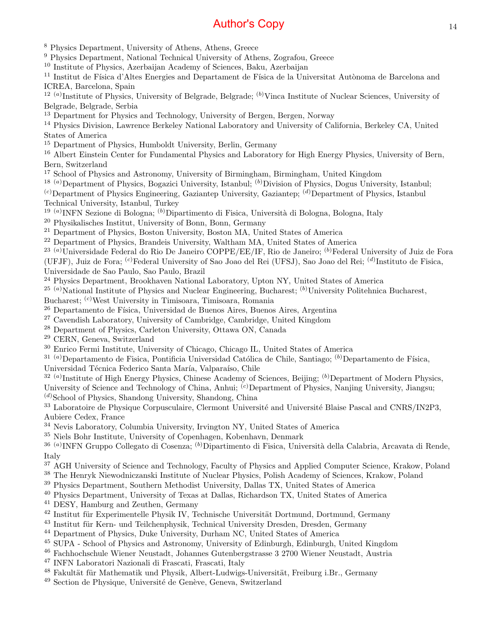<sup>8</sup> Physics Department, University of Athens, Athens, Greece

<sup>9</sup> Physics Department, National Technical University of Athens, Zografou, Greece

<sup>10</sup> Institute of Physics, Azerbaijan Academy of Sciences, Baku, Azerbaijan

<sup>11</sup> Institut de Física d'Altes Energies and Departament de Física de la Universitat Autònoma de Barcelona and ICREA, Barcelona, Spain

 $12^{(a)}$ Institute of Physics, University of Belgrade, Belgrade;  $^{(b)}$ Vinca Institute of Nuclear Sciences, University of Belgrade, Belgrade, Serbia

<sup>13</sup> Department for Physics and Technology, University of Bergen, Bergen, Norway

<sup>14</sup> Physics Division, Lawrence Berkeley National Laboratory and University of California, Berkeley CA, United States of America

<sup>15</sup> Department of Physics, Humboldt University, Berlin, Germany

<sup>16</sup> Albert Einstein Center for Fundamental Physics and Laboratory for High Energy Physics, University of Bern, Bern, Switzerland

<sup>17</sup> School of Physics and Astronomy, University of Birmingham, Birmingham, United Kingdom

<sup>18 (a)</sup>Department of Physics, Bogazici University, Istanbul; <sup>(b)</sup>Division of Physics, Dogus University, Istanbul;

 $^{(c)}$ Department of Physics Engineering, Gaziantep University, Gaziantep;  $^{(d)}$ Department of Physics, Istanbul Technical University, Istanbul, Turkey

<sup>19 (a)</sup> INFN Sezione di Bologna; <sup>(b)</sup> Dipartimento di Fisica, Università di Bologna, Bologna, Italy

<sup>20</sup> Physikalisches Institut, University of Bonn, Bonn, Germany

<sup>21</sup> Department of Physics, Boston University, Boston MA, United States of America

<sup>22</sup> Department of Physics, Brandeis University, Waltham MA, United States of America

<sup>23 (a)</sup>Universidade Federal do Rio De Janeiro COPPE/EE/IF, Rio de Janeiro; <sup>(b)</sup>Federal University of Juiz de Fora

(UFJF), Juiz de Fora; <sup>(c)</sup>Federal University of Sao Joao del Rei (UFSJ), Sao Joao del Rei; <sup>(d)</sup>Instituto de Fisica,

Universidade de Sao Paulo, Sao Paulo, Brazil

<sup>24</sup> Physics Department, Brookhaven National Laboratory, Upton NY, United States of America

<sup>25 (a)</sup>National Institute of Physics and Nuclear Engineering, Bucharest;  $(b)$ University Politehnica Bucharest,

Bucharest; (c)West University in Timisoara, Timisoara, Romania

 $^{26}$  Departamento de Física, Universidad de Buenos Aires, Buenos Aires, Argentina

<sup>27</sup> Cavendish Laboratory, University of Cambridge, Cambridge, United Kingdom

<sup>28</sup> Department of Physics, Carleton University, Ottawa ON, Canada

<sup>29</sup> CERN, Geneva, Switzerland

<sup>30</sup> Enrico Fermi Institute, University of Chicago, Chicago IL, United States of America

 $31$ <sup>(a)</sup>Departamento de Fisica, Pontificia Universidad Católica de Chile, Santiago; <sup>(b)</sup>Departamento de Física,

Universidad Técnica Federico Santa María, Valparaíso, Chile

<sup>32 (a)</sup>Institute of High Energy Physics, Chinese Academy of Sciences, Beijing; <sup>(b)</sup>Department of Modern Physics, University of Science and Technology of China, Anhui; <sup>(c)</sup>Department of Physics, Nanjing University, Jiangsu;

 $(d)$ School of Physics, Shandong University, Shandong, China

<sup>33</sup> Laboratoire de Physique Corpusculaire, Clermont Université and Université Blaise Pascal and CNRS/IN2P3. Aubiere Cedex, France

<sup>34</sup> Nevis Laboratory, Columbia University, Irvington NY, United States of America

<sup>35</sup> Niels Bohr Institute, University of Copenhagen, Kobenhavn, Denmark

<sup>36 (a)</sup>INFN Gruppo Collegato di Cosenza; <sup>(b)</sup>Dipartimento di Fisica, Università della Calabria, Arcavata di Rende, Italy

<sup>37</sup> AGH University of Science and Technology, Faculty of Physics and Applied Computer Science, Krakow, Poland

<sup>38</sup> The Henryk Niewodniczanski Institute of Nuclear Physics, Polish Academy of Sciences, Krakow, Poland

<sup>39</sup> Physics Department, Southern Methodist University, Dallas TX, United States of America

<sup>40</sup> Physics Department, University of Texas at Dallas, Richardson TX, United States of America

<sup>41</sup> DESY, Hamburg and Zeuthen, Germany

 $42$  Institut für Experimentelle Physik IV, Technische Universität Dortmund, Dortmund, Germany

<sup>43</sup> Institut für Kern- und Teilchenphysik, Technical University Dresden, Dresden, Germany

<sup>44</sup> Department of Physics, Duke University, Durham NC, United States of America

<sup>45</sup> SUPA - School of Physics and Astronomy, University of Edinburgh, Edinburgh, United Kingdom

<sup>46</sup> Fachhochschule Wiener Neustadt, Johannes Gutenbergstrasse 3 2700 Wiener Neustadt, Austria

<sup>47</sup> INFN Laboratori Nazionali di Frascati, Frascati, Italy

<sup>48</sup> Fakultät für Mathematik und Physik, Albert-Ludwigs-Universität, Freiburg i.Br., Germany

 $49$  Section de Physique, Université de Genève, Geneva, Switzerland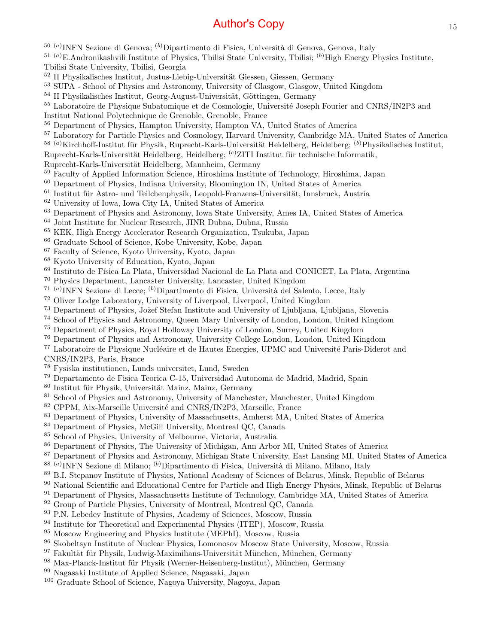- <sup>50 (a)</sup>INFN Sezione di Genova; <sup>(b)</sup>Dipartimento di Fisica, Università di Genova, Genova, Italy
- $^{51}$  (a)E.Andronikashvili Institute of Physics, Tbilisi State University, Tbilisi; (b)High Energy Physics Institute, Tbilisi State University, Tbilisi, Georgia
- <sup>52</sup> II Physikalisches Institut, Justus-Liebig-Universität Giessen, Giessen, Germany
- SUPA School of Physics and Astronomy, University of Glasgow, Glasgow, United Kingdom
- II Physikalisches Institut, Georg-August-Universität, Göttingen, Germany
- <sup>55</sup> Laboratoire de Physique Subatomique et de Cosmologie, Université Joseph Fourier and CNRS/IN2P3 and
- Institut National Polytechnique de Grenoble, Grenoble, France
- Department of Physics, Hampton University, Hampton VA, United States of America
- Laboratory for Particle Physics and Cosmology, Harvard University, Cambridge MA, United States of America
- <sup>58 (a)</sup>Kirchhoff-Institut für Physik, Ruprecht-Karls-Universität Heidelberg, Heidelberg; <sup>(b)</sup>Physikalisches Institut,
- Ruprecht-Karls-Universität Heidelberg, Heidelberg; <sup>(c)</sup>ZITI Institut für technische Informatik,
- Ruprecht-Karls-Universität Heidelberg, Mannheim, Germany
- Faculty of Applied Information Science, Hiroshima Institute of Technology, Hiroshima, Japan
- Department of Physics, Indiana University, Bloomington IN, United States of America
- Institut für Astro- und Teilchenphysik, Leopold-Franzens-Universität, Innsbruck, Austria
- University of Iowa, Iowa City IA, United States of America
- Department of Physics and Astronomy, Iowa State University, Ames IA, United States of America
- Joint Institute for Nuclear Research, JINR Dubna, Dubna, Russia
- KEK, High Energy Accelerator Research Organization, Tsukuba, Japan
- Graduate School of Science, Kobe University, Kobe, Japan
- Faculty of Science, Kyoto University, Kyoto, Japan
- Kyoto University of Education, Kyoto, Japan
- <sup>69</sup> Instituto de Física La Plata, Universidad Nacional de La Plata and CONICET. La Plata, Argentina
- Physics Department, Lancaster University, Lancaster, United Kingdom
- <sup>71 (a)</sup> INFN Sezione di Lecce; <sup>(b)</sup> Dipartimento di Fisica, Università del Salento, Lecce, Italy
- Oliver Lodge Laboratory, University of Liverpool, Liverpool, United Kingdom
- <sup>73</sup> Department of Physics, Jožef Stefan Institute and University of Ljubljana, Ljubljana, Slovenia
- School of Physics and Astronomy, Queen Mary University of London, London, United Kingdom
- Department of Physics, Royal Holloway University of London, Surrey, United Kingdom
- Department of Physics and Astronomy, University College London, London, United Kingdom

<sup>77</sup> Laboratoire de Physique Nucléaire et de Hautes Energies, UPMC and Université Paris-Diderot and CNRS/IN2P3, Paris, France

- Fysiska institutionen, Lunds universitet, Lund, Sweden
- Departamento de Fisica Teorica C-15, Universidad Autonoma de Madrid, Madrid, Spain
- Institut für Physik, Universität Mainz, Mainz, Germany
- <sup>81</sup> School of Physics and Astronomy, University of Manchester, Manchester, United Kingdom
- <sup>82</sup> CPPM, Aix-Marseille Université and CNRS/IN2P3, Marseille, France
- Department of Physics, University of Massachusetts, Amherst MA, United States of America
- Department of Physics, McGill University, Montreal QC, Canada
- School of Physics, University of Melbourne, Victoria, Australia
- Department of Physics, The University of Michigan, Ann Arbor MI, United States of America
- Department of Physics and Astronomy, Michigan State University, East Lansing MI, United States of America
- <sup>88 (a)</sup>INFN Sezione di Milano; <sup>(b)</sup>Dipartimento di Fisica, Università di Milano, Milano, Italy
- B.I. Stepanov Institute of Physics, National Academy of Sciences of Belarus, Minsk, Republic of Belarus
- <sup>90</sup> National Scientific and Educational Centre for Particle and High Energy Physics, Minsk, Republic of Belarus
- <sup>91</sup> Department of Physics, Massachusetts Institute of Technology, Cambridge MA, United States of America
- <sup>92</sup> Group of Particle Physics, University of Montreal, Montreal QC, Canada
- P.N. Lebedev Institute of Physics, Academy of Sciences, Moscow, Russia
- <sup>94</sup> Institute for Theoretical and Experimental Physics (ITEP), Moscow, Russia
- Moscow Engineering and Physics Institute (MEPhI), Moscow, Russia
- Skobeltsyn Institute of Nuclear Physics, Lomonosov Moscow State University, Moscow, Russia
- Fakultät für Physik, Ludwig-Maximilians-Universität München, München, Germany
- 98 Max-Planck-Institut für Physik (Werner-Heisenberg-Institut), München, Germany
- Nagasaki Institute of Applied Science, Nagasaki, Japan
- Graduate School of Science, Nagoya University, Nagoya, Japan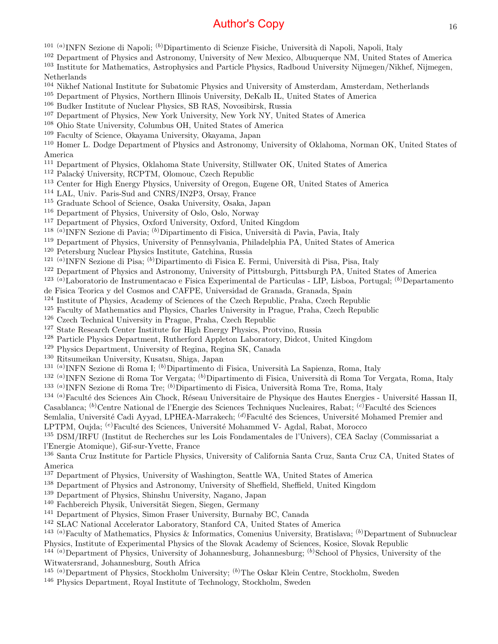- <sup>101 (a)</sup>INFN Sezione di Napoli; <sup>(b)</sup>Dipartimento di Scienze Fisiche, Università di Napoli, Napoli, Italy
- Department of Physics and Astronomy, University of New Mexico, Albuquerque NM, United States of America
- Institute for Mathematics, Astrophysics and Particle Physics, Radboud University Nijmegen/Nikhef, Nijmegen,
- Netherlands
- Nikhef National Institute for Subatomic Physics and University of Amsterdam, Amsterdam, Netherlands
- Department of Physics, Northern Illinois University, DeKalb IL, United States of America
- Budker Institute of Nuclear Physics, SB RAS, Novosibirsk, Russia
- Department of Physics, New York University, New York NY, United States of America
- Ohio State University, Columbus OH, United States of America
- Faculty of Science, Okayama University, Okayama, Japan
- Homer L. Dodge Department of Physics and Astronomy, University of Oklahoma, Norman OK, United States of America
- Department of Physics, Oklahoma State University, Stillwater OK, United States of America
- <sup>112</sup> Palacký University, RCPTM, Olomouc, Czech Republic
- Center for High Energy Physics, University of Oregon, Eugene OR, United States of America
- LAL, Univ. Paris-Sud and CNRS/IN2P3, Orsay, France
- Graduate School of Science, Osaka University, Osaka, Japan
- Department of Physics, University of Oslo, Oslo, Norway
- Department of Physics, Oxford University, Oxford, United Kingdom
- <sup>118 (a)</sup>INFN Sezione di Pavia; <sup>(b)</sup>Dipartimento di Fisica, Università di Pavia, Pavia, Italy
- Department of Physics, University of Pennsylvania, Philadelphia PA, United States of America
- Petersburg Nuclear Physics Institute, Gatchina, Russia
- <sup>121 (a)</sup>INFN Sezione di Pisa; <sup>(b)</sup>Dipartimento di Fisica E. Fermi, Università di Pisa, Pisa, Italy
- Department of Physics and Astronomy, University of Pittsburgh, Pittsburgh PA, United States of America
- <sup>123 (a)</sup>Laboratorio de Instrumentacao e Fisica Experimental de Particulas LIP, Lisboa, Portugal; <sup>(b)</sup>Departamento
- de Fisica Teorica y del Cosmos and CAFPE, Universidad de Granada, Granada, Spain
- Institute of Physics, Academy of Sciences of the Czech Republic, Praha, Czech Republic
- Faculty of Mathematics and Physics, Charles University in Prague, Praha, Czech Republic
- Czech Technical University in Prague, Praha, Czech Republic
- State Research Center Institute for High Energy Physics, Protvino, Russia
- Particle Physics Department, Rutherford Appleton Laboratory, Didcot, United Kingdom
- Physics Department, University of Regina, Regina SK, Canada
- Ritsumeikan University, Kusatsu, Shiga, Japan
- <sup>131 (a)</sup>INFN Sezione di Roma I; <sup>(b)</sup>Dipartimento di Fisica, Università La Sapienza, Roma, Italy
- <sup>132 (a)</sup>INFN Sezione di Roma Tor Vergata; <sup>(b)</sup>Dipartimento di Fisica, Università di Roma Tor Vergata, Roma, Italy
- <sup>133 (a)</sup>INFN Sezione di Roma Tre; <sup>(b)</sup>Dipartimento di Fisica, Università Roma Tre, Roma, Italy
- <sup>(a)</sup>Faculté des Sciences Ain Chock, Réseau Universitaire de Physique des Hautes Energies Université Hassan II, Casablanca; <sup>(b)</sup>Centre National de l'Energie des Sciences Techniques Nucleaires, Rabat; <sup>(c)</sup>Faculté des Sciences
- Semlalia, Université Cadi Ayyad, LPHEA-Marrakech; <sup>(d)</sup>Faculté des Sciences, Université Mohamed Premier and LPTPM, Oujda; <sup>(e)</sup>Faculté des Sciences, Université Mohammed V- Agdal, Rabat, Morocco
- DSM/IRFU (Institut de Recherches sur les Lois Fondamentales de l'Univers), CEA Saclay (Commissariat a l'Energie Atomique), Gif-sur-Yvette, France

 Santa Cruz Institute for Particle Physics, University of California Santa Cruz, Santa Cruz CA, United States of America

- Department of Physics, University of Washington, Seattle WA, United States of America
- Department of Physics and Astronomy, University of Sheffield, Sheffield, United Kingdom
- Department of Physics, Shinshu University, Nagano, Japan
- Fachbereich Physik, Universität Siegen, Siegen, Germany
- Department of Physics, Simon Fraser University, Burnaby BC, Canada
- SLAC National Accelerator Laboratory, Stanford CA, United States of America
- <sup>143 (a)</sup>Faculty of Mathematics, Physics & Informatics, Comenius University, Bratislava; <sup>(b)</sup>Department of Subnuclear
- Physics, Institute of Experimental Physics of the Slovak Academy of Sciences, Kosice, Slovak Republic

 (a)Department of Physics, University of Johannesburg, Johannesburg; (b)School of Physics, University of the Witwatersrand, Johannesburg, South Africa

- <sup>145 (a)</sup>Department of Physics, Stockholm University; <sup>(b)</sup>The Oskar Klein Centre, Stockholm, Sweden
- <sup>146</sup> Physics Department, Royal Institute of Technology, Stockholm, Sweden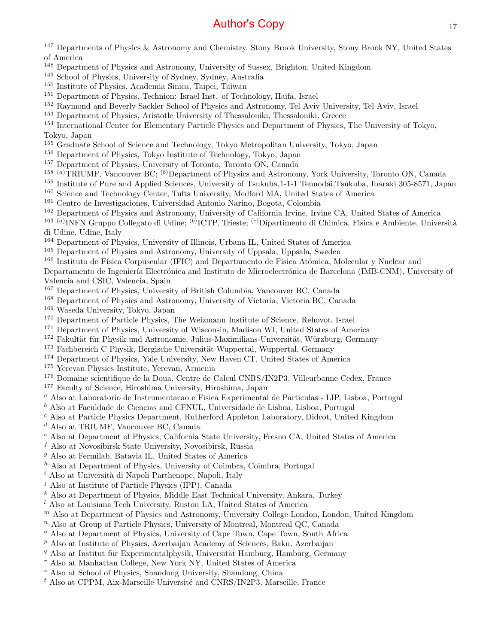<sup>147</sup> Departments of Physics & Astronomy and Chemistry, Stony Brook University, Stony Brook NY, United States of America

- <sup>148</sup> Department of Physics and Astronomy, University of Sussex, Brighton, United Kingdom
- <sup>149</sup> School of Physics, University of Sydney, Sydney, Australia
- <sup>150</sup> Institute of Physics, Academia Sinica, Taipei, Taiwan
- <sup>151</sup> Department of Physics, Technion: Israel Inst. of Technology, Haifa, Israel
- <sup>152</sup> Raymond and Beverly Sackler School of Physics and Astronomy, Tel Aviv University, Tel Aviv, Israel
- <sup>153</sup> Department of Physics, Aristotle University of Thessaloniki, Thessaloniki, Greece

<sup>154</sup> International Center for Elementary Particle Physics and Department of Physics, The University of Tokyo, Tokyo, Japan

- <sup>155</sup> Graduate School of Science and Technology, Tokyo Metropolitan University, Tokyo, Japan
- <sup>156</sup> Department of Physics, Tokyo Institute of Technology, Tokyo, Japan
- <sup>157</sup> Department of Physics, University of Toronto, Toronto ON, Canada
- <sup>158 (a)</sup>TRIUMF, Vancouver BC; <sup>(b)</sup>Department of Physics and Astronomy, York University, Toronto ON, Canada
- <sup>159</sup> Institute of Pure and Applied Sciences, University of Tsukuba,1-1-1 Tennodai,Tsukuba, Ibaraki 305-8571, Japan
- <sup>160</sup> Science and Technology Center, Tufts University, Medford MA, United States of America
- <sup>161</sup> Centro de Investigaciones, Universidad Antonio Narino, Bogota, Colombia
- <sup>162</sup> Department of Physics and Astronomy, University of California Irvine, Irvine CA, United States of America
- <sup>163 (a)</sup>INFN Gruppo Collegato di Udine; <sup>(b)</sup>ICTP, Trieste; <sup>(c)</sup>Dipartimento di Chimica, Fisica e Ambiente, Università di Udine, Udine, Italy
- <sup>164</sup> Department of Physics, University of Illinois, Urbana IL, United States of America
- <sup>165</sup> Department of Physics and Astronomy, University of Uppsala, Uppsala, Sweden
- <sup>166</sup> Instituto de Física Corpuscular (IFIC) and Departamento de Física Atómica, Molecular y Nuclear and

Departamento de Ingeniería Electrónica and Instituto de Microelectrónica de Barcelona (IMB-CNM), University of Valencia and CSIC, Valencia, Spain

<sup>167</sup> Department of Physics, University of British Columbia, Vancouver BC, Canada

- <sup>168</sup> Department of Physics and Astronomy, University of Victoria, Victoria BC, Canada
- <sup>169</sup> Waseda University, Tokyo, Japan
- <sup>170</sup> Department of Particle Physics, The Weizmann Institute of Science, Rehovot, Israel
- <sup>171</sup> Department of Physics, University of Wisconsin, Madison WI, United States of America
- <sup>172</sup> Fakultät für Physik und Astronomie, Julius-Maximilians-Universität, Würzburg, Germany
- <sup>173</sup> Fachbereich C Physik, Bergische Universität Wuppertal, Wuppertal, Germany
- <sup>174</sup> Department of Physics, Yale University, New Haven CT, United States of America
- <sup>175</sup> Yerevan Physics Institute, Yerevan, Armenia

<sup>176</sup> Domaine scientifique de la Doua, Centre de Calcul CNRS/IN2P3, Villeurbanne Cedex, France

- <sup>177</sup> Faculty of Science, Hiroshima University, Hiroshima, Japan
- <sup>a</sup> Also at Laboratorio de Instrumentacao e Fisica Experimental de Particulas LIP, Lisboa, Portugal
- $<sup>b</sup>$  Also at Faculdade de Ciencias and CFNUL, Universidade de Lisboa, Lisboa, Portugal</sup>
- <sup>c</sup> Also at Particle Physics Department, Rutherford Appleton Laboratory, Didcot, United Kingdom
- <sup>d</sup> Also at TRIUMF, Vancouver BC, Canada
- <sup>e</sup> Also at Department of Physics, California State University, Fresno CA, United States of America
- $f$  Also at Novosibirsk State University, Novosibirsk, Russia
- <sup>g</sup> Also at Fermilab, Batavia IL, United States of America
- $h$  Also at Department of Physics, University of Coimbra, Coimbra, Portugal
- $i$  Also at Università di Napoli Parthenope, Napoli, Italy
- $j$  Also at Institute of Particle Physics (IPP), Canada
- $k$  Also at Department of Physics, Middle East Technical University, Ankara, Turkey
- $l$  Also at Louisiana Tech University, Ruston LA, United States of America
- $<sup>m</sup>$  Also at Department of Physics and Astronomy, University College London, London, United Kingdom</sup>
- $n$  Also at Group of Particle Physics, University of Montreal, Montreal QC, Canada
- <sup>o</sup> Also at Department of Physics, University of Cape Town, Cape Town, South Africa
- $p$  Also at Institute of Physics, Azerbaijan Academy of Sciences, Baku, Azerbaijan
- $q$  Also at Institut für Experimentalphysik, Universität Hamburg, Hamburg, Germany
- <sup>r</sup> Also at Manhattan College, New York NY, United States of America
- <sup>s</sup> Also at School of Physics, Shandong University, Shandong, China
- $t$  Also at CPPM, Aix-Marseille Université and CNRS/IN2P3, Marseille, France